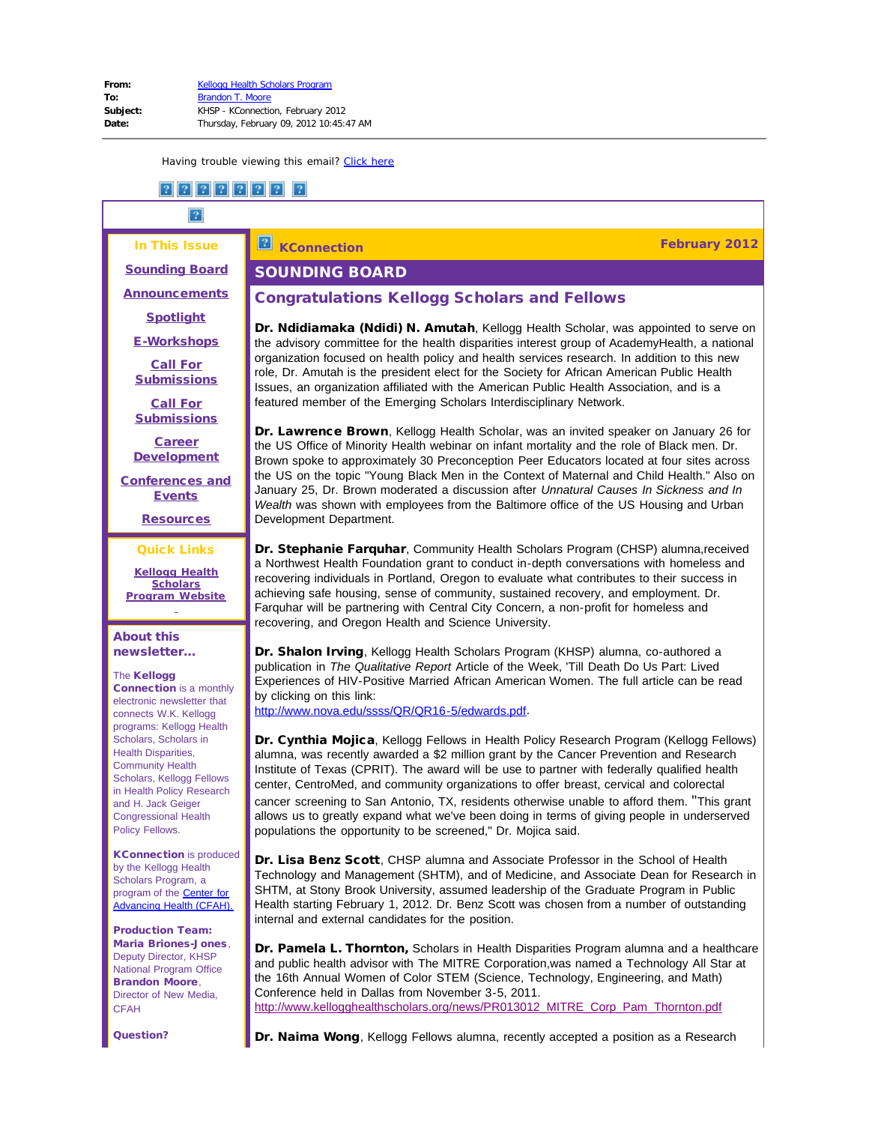# In This Issue

 $\boxed{2}$ 

SOUNDING BOARD

# **KConnection February 2012**

<span id="page-0-0"></span>[Sounding Board](#page-0-0)

**[Announcements](#page-1-0)** 

**[Spotlight](#page-1-1)** 

[E-Workshops](#page-2-0)

[Call For](#page-2-1) **[Submissions](#page-2-1)** 

[Call For](#page-2-2) **[Submissions](#page-2-2)** 

[Career](#page-5-0) **[Development](#page-5-0)** 

<span id="page-0-1"></span>[Conferences and](#page-16-0) [Events](#page-16-0)

**[Resources](#page-19-0)** 

#### Quick Links

**[Kellogg Health](http://r20.rs6.net/tn.jsp?llr=5gytkqcab&et=1109261311711&s=1&e=0019XB6j_nEkowlXRYB-IHVS2s6MLckRQwZpSuKxKVxwjMeFJD7eA_zx3A_eWUJugSiYTJ27fbln5ViCJ-P0eIhDH80b59kGC1510EXL43TfvmDR_9YrG7JiYHLciWMoWi3) [Scholars](http://r20.rs6.net/tn.jsp?llr=5gytkqcab&et=1109261311711&s=1&e=0019XB6j_nEkowlXRYB-IHVS2s6MLckRQwZpSuKxKVxwjMeFJD7eA_zx3A_eWUJugSiYTJ27fbln5ViCJ-P0eIhDH80b59kGC1510EXL43TfvmDR_9YrG7JiYHLciWMoWi3) [Program](http://r20.rs6.net/tn.jsp?llr=5gytkqcab&et=1109261311711&s=1&e=0019XB6j_nEkowlXRYB-IHVS2s6MLckRQwZpSuKxKVxwjMeFJD7eA_zx3A_eWUJugSiYTJ27fbln5ViCJ-P0eIhDH80b59kGC1510EXL43TfvmDR_9YrG7JiYHLciWMoWi3) Website** ÷

#### About this newsletter...

#### The Kellogg

Connection is a monthly electronic newsletter that connects W.K. Kellogg programs: Kellogg Health Scholars, Scholars in Health Disparities, Community Health Scholars, Kellogg Fellows in Health Policy Research and H. Jack Geiger Congressional Health Policy Fellows.

KConnection is produced by the Kellogg Health Scholars Program, a program of the [Center for](http://r20.rs6.net/tn.jsp?llr=5gytkqcab&et=1109261311711&s=1&e=0019XB6j_nEkozuOpNrlxV-eqYMmnttSJ2pOiBJrfxDsTR9QVhu_WrPNeQxmvy8pKp-wmaknLTqnIZfKjEcEtvRrMJqKa5KAJ74nso-CL7XQ2A=) [Advancing Health \(CFAH\).](http://r20.rs6.net/tn.jsp?llr=5gytkqcab&et=1109261311711&s=1&e=0019XB6j_nEkozuOpNrlxV-eqYMmnttSJ2pOiBJrfxDsTR9QVhu_WrPNeQxmvy8pKp-wmaknLTqnIZfKjEcEtvRrMJqKa5KAJ74nso-CL7XQ2A=)

Production Team: Maria Briones-Jones, Deputy Director, KHSP National Program Office Brandon Moore, Director of New Media, **CFAH** 

Question?

# Congratulations Kellogg Scholars and Fellows

Dr. Ndidiamaka (Ndidi) N. Amutah, Kellogg Health Scholar, was appointed to serve on the advisory committee for the health disparities interest group of AcademyHealth, a national organization focused on health policy and health services research. In addition to this new role, Dr. Amutah is the president elect for the Society for African American Public Health Issues, an organization affiliated with the American Public Health Association, and is a featured member of the Emerging Scholars Interdisciplinary Network.

Dr. Lawrence Brown, Kellogg Health Scholar, was an invited speaker on January 26 for the US Office of Minority Health webinar on infant mortality and the role of Black men. Dr. Brown spoke to approximately 30 Preconception Peer Educators located at four sites across the US on the topic "Young Black Men in the Context of Maternal and Child Health." Also on January 25, Dr. Brown moderated a discussion after *Unnatural Causes In Sickness and In Wealth* was shown with employees from the Baltimore office of the US Housing and Urban Development Department.

**Dr. Stephanie Farquhar**, Community Health Scholars Program (CHSP) alumna, received a Northwest Health Foundation grant to conduct in-depth conversations with homeless and recovering individuals in Portland, Oregon to evaluate what contributes to their success in achieving safe housing, sense of community, sustained recovery, and employment. Dr. Farquhar will be partnering with Central City Concern, a non-profit for homeless and recovering, and Oregon Health and Science University.

Dr. Shalon Irving, Kellogg Health Scholars Program (KHSP) alumna, co-authored a publication in *The Qualitative Report* Article of the Week, 'Till Death Do Us Part: Lived Experiences of HIV-Positive Married African American Women. The full article can be read by clicking on this link:

[http://www.nova.edu/ssss/QR/QR16-5/edwards.pdf](http://r20.rs6.net/tn.jsp?llr=5gytkqcab&et=1109261311711&s=1&e=0019XB6j_nEkowbPpPMvHXYwjSKVZw18uNBF-uomKKUPTHYcSeOCT7yap2pXEy5-iW-P0pY9xc_NrddibSljwlsPPMWkNtE-VdRkbg1LF9q1lzfr1yFd55t7bROdGOUln1nKbxePNhjeUMvVK029fd1Aw==).

Dr. Cynthia Mojica, Kellogg Fellows in Health Policy Research Program (Kellogg Fellows) alumna, was recently awarded a \$2 million grant by the Cancer Prevention and Research Institute of Texas (CPRIT). The award will be use to partner with federally qualified health center, CentroMed, and community organizations to offer breast, cervical and colorectal cancer screening to San Antonio, TX, residents otherwise unable to afford them. "This grant allows us to greatly expand what we've been doing in terms of giving people in underserved populations the opportunity to be screened," Dr. Mojica said.

Dr. Lisa Benz Scott, CHSP alumna and Associate Professor in the School of Health Technology and Management (SHTM), and of Medicine, and Associate Dean for Research in SHTM, at Stony Brook University, assumed leadership of the Graduate Program in Public Health starting February 1, 2012. Dr. Benz Scott was chosen from a number of outstanding internal and external candidates for the position.

Dr. Pamela L. Thornton, Scholars in Health Disparities Program alumna and a healthcare and public health advisor with The MITRE Corporation,was named a Technology All Star at the 16th Annual Women of Color STEM (Science, Technology, Engineering, and Math) Conference held in Dallas from November 3-5, 2011. [http://www.kellogghealthscholars.org/news/PR013012\\_MITRE\\_Corp\\_Pam\\_Thornton.pdf](http://r20.rs6.net/tn.jsp?llr=5gytkqcab&et=1109261311711&s=1&e=0019XB6j_nEkow7ZQQDVTLb2gFc4UVTYJr2RvjOqHSxZgP2pcSMpgXln6W_dCLvQtyBmvSwp0wKgWW7W2FTYGdebeAmTMfGgFkNQuA8tZsEkDEidHD7snV-7KCVBzWf9FMJCfLEXABk8vREGwjWUltcK9rLqvEJ-kMYM_6ITR7A7o2SyMrOfvucmQ==)

Dr. Naima Wong, Kellogg Fellows alumna, recently accepted a position as a Research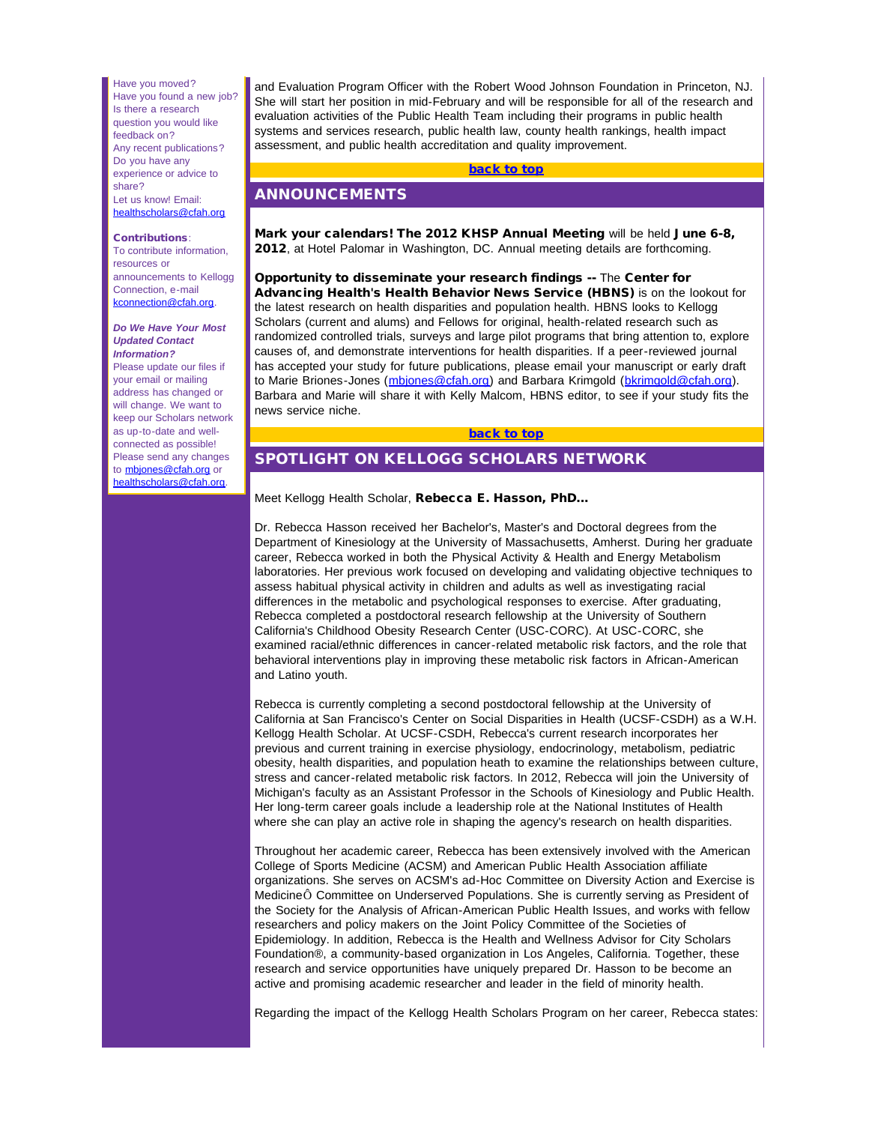<span id="page-1-0"></span>Have you moved? Have you found a new job? Is there a research question you would like feedback on? Any recent publications? Do you have any experience or advice to share? Let us know! Email: [healthscholars@cfah.org](mailto:healthscholars@cfah.org)

#### <span id="page-1-1"></span>Contributions:

To contribute information, resources or announcements to Kellogg Connection, e-mail [kconnection@cfah.org.](mailto:kconnection@cfah.org)

#### *Do We Have Your Most Updated Contact Information?*

Please update our files if your email or mailing address has changed or will change. We want to keep our Scholars network as up-to-date and wellconnected as possible! Please send any changes to [mbjones@cfah.org](mailto:mbjones@cfah.org) or [healthscholars@cfah.org.](mailto:healthscholars@cfah.org)

and Evaluation Program Officer with the Robert Wood Johnson Foundation in Princeton, NJ. She will start her position in mid-February and will be responsible for all of the research and evaluation activities of the Public Health Team including their programs in public health systems and services research, public health law, county health rankings, health impact assessment, and public health accreditation and quality improvement.

#### [back to top](#page-0-1)

# ANNOUNCEMENTS

Mark your calendars! The 2012 KHSP Annual Meeting will be held June 6-8, 2012, at Hotel Palomar in Washington, DC. Annual meeting details are forthcoming.

Opportunity to disseminate your research findings -- The Center for Advancing Health's Health Behavior News Service (HBNS) is on the lookout for the latest research on health disparities and population health. HBNS looks to Kellogg Scholars (current and alums) and Fellows for original, health-related research such as randomized controlled trials, surveys and large pilot programs that bring attention to, explore causes of, and demonstrate interventions for health disparities. If a peer-reviewed journal has accepted your study for future publications, please email your manuscript or early draft to Marie Briones-Jones (mbiones@cfah.org) and Barbara Krimgold ([bkrimgold@cfah.org](mailto:bkrimgold@cfah.org)). Barbara and Marie will share it with Kelly Malcom, HBNS editor, to see if your study fits the news service niche.

#### [back to top](#page-0-1)

# SPOTLIGHT ON KELLOGG SCHOLARS NETWORK

Meet Kellogg Health Scholar, Rebecca E. Hasson, PhD...

Dr. Rebecca Hasson received her Bachelor's, Master's and Doctoral degrees from the Department of Kinesiology at the University of Massachusetts, Amherst. During her graduate career, Rebecca worked in both the Physical Activity & Health and Energy Metabolism laboratories. Her previous work focused on developing and validating objective techniques to assess habitual physical activity in children and adults as well as investigating racial differences in the metabolic and psychological responses to exercise. After graduating, Rebecca completed a postdoctoral research fellowship at the University of Southern California's Childhood Obesity Research Center (USC-CORC). At USC-CORC, she examined racial/ethnic differences in cancer-related metabolic risk factors, and the role that behavioral interventions play in improving these metabolic risk factors in African-American and Latino youth.

Rebecca is currently completing a second postdoctoral fellowship at the University of California at San Francisco's Center on Social Disparities in Health (UCSF-CSDH) as a W.H. Kellogg Health Scholar. At UCSF-CSDH, Rebecca's current research incorporates her previous and current training in exercise physiology, endocrinology, metabolism, pediatric obesity, health disparities, and population heath to examine the relationships between culture, stress and cancer-related metabolic risk factors. In 2012, Rebecca will join the University of Michigan's faculty as an Assistant Professor in the Schools of Kinesiology and Public Health. Her long-term career goals include a leadership role at the National Institutes of Health where she can play an active role in shaping the agency's research on health disparities.

Throughout her academic career, Rebecca has been extensively involved with the American College of Sports Medicine (ACSM) and American Public Health Association affiliate organizations. She serves on ACSM's ad-Hoc Committee on Diversity Action and Exercise is MedicineÔ Committee on Underserved Populations. She is currently serving as President of the Society for the Analysis of African-American Public Health Issues, and works with fellow researchers and policy makers on the Joint Policy Committee of the Societies of Epidemiology. In addition, Rebecca is the Health and Wellness Advisor for City Scholars Foundation®, a community-based organization in Los Angeles, California. Together, these research and service opportunities have uniquely prepared Dr. Hasson to be become an active and promising academic researcher and leader in the field of minority health.

Regarding the impact of the Kellogg Health Scholars Program on her career, Rebecca states: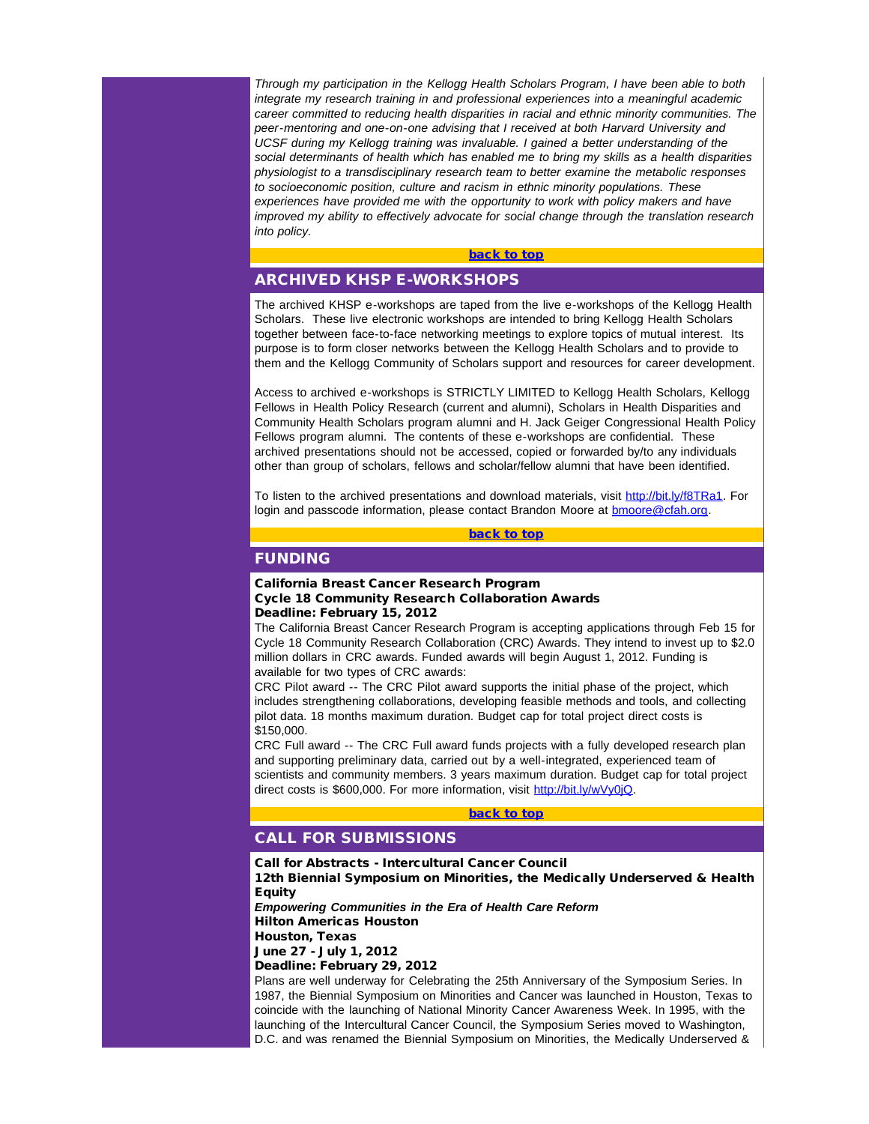<span id="page-2-0"></span>*Through my participation in the Kellogg Health Scholars Program, I have been able to both integrate my research training in and professional experiences into a meaningful academic career committed to reducing health disparities in racial and ethnic minority communities. The peer-mentoring and one-on-one advising that I received at both Harvard University and UCSF during my Kellogg training was invaluable. I gained a better understanding of the social determinants of health which has enabled me to bring my skills as a health disparities physiologist to a transdisciplinary research team to better examine the metabolic responses to socioeconomic position, culture and racism in ethnic minority populations. These experiences have provided me with the opportunity to work with policy makers and have improved my ability to effectively advocate for social change through the translation research into policy.*

#### [back to top](#page-0-1)

# ARCHIVED KHSP E-WORKSHOPS

<span id="page-2-1"></span>The archived KHSP e-workshops are taped from the live e-workshops of the Kellogg Health Scholars. These live electronic workshops are intended to bring Kellogg Health Scholars together between face-to-face networking meetings to explore topics of mutual interest. Its purpose is to form closer networks between the Kellogg Health Scholars and to provide to them and the Kellogg Community of Scholars support and resources for career development.

Access to archived e-workshops is STRICTLY LIMITED to Kellogg Health Scholars, Kellogg Fellows in Health Policy Research (current and alumni), Scholars in Health Disparities and Community Health Scholars program alumni and H. Jack Geiger Congressional Health Policy Fellows program alumni. The contents of these e-workshops are confidential. These archived presentations should not be accessed, copied or forwarded by/to any individuals other than group of scholars, fellows and scholar/fellow alumni that have been identified.

To listen to the archived presentations and download materials, visit [http://bit.ly/f8TRa1.](http://r20.rs6.net/tn.jsp?llr=5gytkqcab&et=1109261311711&s=1&e=0019XB6j_nEkoyDTasfKfy9RocVfzCvr6aWD10v6dNNX508xxpU4XJXhDxNScVY_AdHzSD8WQCEfmNu4biFsiRGfvMjqiecKmRn4n76ymmnT2cniJR0eMN0kUSsW4HdwiL-DaT8htIT3-o=) For login and passcode information, please contact Brandon Moore at **bmoore@cfah.org**.

#### [back to top](#page-0-1)

## FUNDING

California Breast Cancer Research Program Cycle 18 Community Research Collaboration Awards Deadline: February 15, 2012

<span id="page-2-2"></span>The California Breast Cancer Research Program is accepting applications through Feb 15 for Cycle 18 Community Research Collaboration (CRC) Awards. They intend to invest up to \$2.0 million dollars in CRC awards. Funded awards will begin August 1, 2012. Funding is available for two types of CRC awards:

CRC Pilot award -- The CRC Pilot award supports the initial phase of the project, which includes strengthening collaborations, developing feasible methods and tools, and collecting pilot data. 18 months maximum duration. Budget cap for total project direct costs is \$150,000.

CRC Full award -- The CRC Full award funds projects with a fully developed research plan and supporting preliminary data, carried out by a well-integrated, experienced team of scientists and community members. 3 years maximum duration. Budget cap for total project direct costs is \$600,000. For more information, visit [http://bit.ly/wVy0jQ](http://r20.rs6.net/tn.jsp?llr=5gytkqcab&et=1109261311711&s=1&e=0019XB6j_nEkowAg3JKGR9o-SZ_1l51B9VQfNphWX8cAZkZBds7J1gdkBROQqwxVxBJdd7LgBs2MV8bzZKFp1B_gTTchsjI_svbmu_TpoA3izc=).

[back to top](#page-0-1)

# CALL FOR SUBMISSIONS

Call for Abstracts - Intercultural Cancer Council

12th Biennial Symposium on Minorities, the Medically Underserved & Health Equity

*Empowering Communities in the Era of Health Care Reform* Hilton Americas Houston

Houston, Texas June 27 - July 1, 2012

Deadline: February 29, 2012

Plans are well underway for Celebrating the 25th Anniversary of the Symposium Series. In 1987, the Biennial Symposium on Minorities and Cancer was launched in Houston, Texas to coincide with the launching of National Minority Cancer Awareness Week. In 1995, with the launching of the Intercultural Cancer Council, the Symposium Series moved to Washington, D.C. and was renamed the Biennial Symposium on Minorities, the Medically Underserved &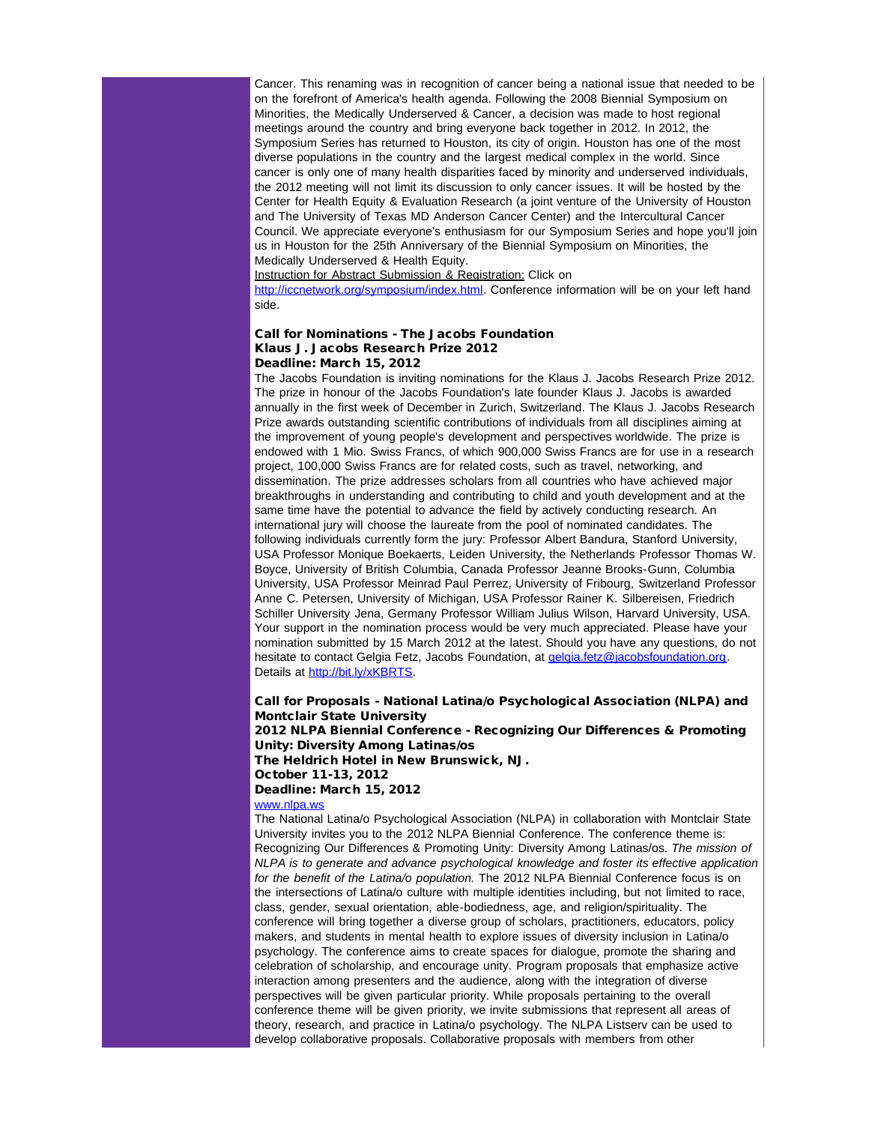Cancer. This renaming was in recognition of cancer being a national issue that needed to be on the forefront of America's health agenda. Following the 2008 Biennial Symposium on Minorities, the Medically Underserved & Cancer, a decision was made to host regional meetings around the country and bring everyone back together in 2012. In 2012, the Symposium Series has returned to Houston, its city of origin. Houston has one of the most diverse populations in the country and the largest medical complex in the world. Since cancer is only one of many health disparities faced by minority and underserved individuals, the 2012 meeting will not limit its discussion to only cancer issues. It will be hosted by the Center for Health Equity & Evaluation Research (a joint venture of the University of Houston and The University of Texas MD Anderson Cancer Center) and the Intercultural Cancer Council. We appreciate everyone's enthusiasm for our Symposium Series and hope you'll join us in Houston for the 25th Anniversary of the Biennial Symposium on Minorities, the Medically Underserved & Health Equity.

Instruction for Abstract Submission & Registration: Click on

[http://iccnetwork.org/symposium/index.html](http://r20.rs6.net/tn.jsp?llr=5gytkqcab&et=1109261311711&s=1&e=0019XB6j_nEkowItDMbpofg6QAFlu0bD7chzE4h-vZPFOEFibzuRqxQi23lxRVp0aSU2SlVwJi7Q6NYlOeYPLq-WAiGMHpDgaAG2HNN5lPoAZRKueMi8sRoBaAA8oCZnaC0PD9lIKPQsgE=). Conference information will be on your left hand side.

#### Call for Nominations - The Jacobs Foundation Klaus J. Jacobs Research Prize 2012 Deadline: March 15, 2012

The Jacobs Foundation is inviting nominations for the Klaus J. Jacobs Research Prize 2012. The prize in honour of the Jacobs Foundation's late founder Klaus J. Jacobs is awarded annually in the first week of December in Zurich, Switzerland. The Klaus J. Jacobs Research Prize awards outstanding scientific contributions of individuals from all disciplines aiming at the improvement of young people's development and perspectives worldwide. The prize is endowed with 1 Mio. Swiss Francs, of which 900,000 Swiss Francs are for use in a research project, 100,000 Swiss Francs are for related costs, such as travel, networking, and dissemination. The prize addresses scholars from all countries who have achieved major breakthroughs in understanding and contributing to child and youth development and at the same time have the potential to advance the field by actively conducting research. An international jury will choose the laureate from the pool of nominated candidates. The following individuals currently form the jury: Professor Albert Bandura, Stanford University, USA Professor Monique Boekaerts, Leiden University, the Netherlands Professor Thomas W. Boyce, University of British Columbia, Canada Professor Jeanne Brooks-Gunn, Columbia University, USA Professor Meinrad Paul Perrez, University of Fribourg, Switzerland Professor Anne C. Petersen, University of Michigan, USA Professor Rainer K. Silbereisen, Friedrich Schiller University Jena, Germany Professor William Julius Wilson, Harvard University, USA. Your support in the nomination process would be very much appreciated. Please have your nomination submitted by 15 March 2012 at the latest. Should you have any questions, do not hesitate to contact Gelgia Fetz, Jacobs Foundation, at [gelgia.fetz@jacobsfoundation.org.](mailto:gelgia.fetz@jacobsfoundation.org?) Details at [http://bit.ly/xKBRTS.](http://r20.rs6.net/tn.jsp?llr=5gytkqcab&et=1109261311711&s=1&e=0019XB6j_nEkowSc--syTuHQWwl3GifxrVpTVKOsF_w82vGn5HOqbpBFBNjMjvr3xiuN1FhjMib4E7A0ibjanSq5MpYqVenPAAhQ5V_pRQi9sc=)

Call for Proposals - National Latina/o Psychological Association (NLPA) and Montclair State University 2012 NLPA Biennial Conference - Recognizing Our Differences & Promoting Unity: Diversity Among Latinas/os The Heldrich Hotel in New Brunswick, NJ. October 11-13, 2012 Deadline: March 15, 2012

[www.nlpa.ws](http://r20.rs6.net/tn.jsp?llr=5gytkqcab&et=1109261311711&s=1&e=0019XB6j_nEkoxcskHge8OUxWMJ1dbBAyo8UW7zKPVK_XIbE-9sSXp2UJ9csp-Om681liksxWkt5waXpybu0pTwOqTap4rQOc-b)

The National Latina/o Psychological Association (NLPA) in collaboration with Montclair State University invites you to the 2012 NLPA Biennial Conference. The conference theme is: Recognizing Our Differences & Promoting Unity: Diversity Among Latinas/os. *The mission of NLPA is to generate and advance psychological knowledge and foster its effective application for the benefit of the Latina/o population.* The 2012 NLPA Biennial Conference focus is on the intersections of Latina/o culture with multiple identities including, but not limited to race, class, gender, sexual orientation, able*-*bodiedness, age, and religion/spirituality. The conference will bring together a diverse group of scholars, practitioners, educators, policy makers, and students in mental health to explore issues of diversity inclusion in Latina/o psychology. The conference aims to create spaces for dialogue, promote the sharing and celebration of scholarship, and encourage unity. Program proposals that emphasize active interaction among presenters and the audience, along with the integration of diverse perspectives will be given particular priority. While proposals pertaining to the overall conference theme will be given priority, we invite submissions that represent all areas of theory, research, and practice in Latina/o psychology. The NLPA Listserv can be used to develop collaborative proposals. Collaborative proposals with members from other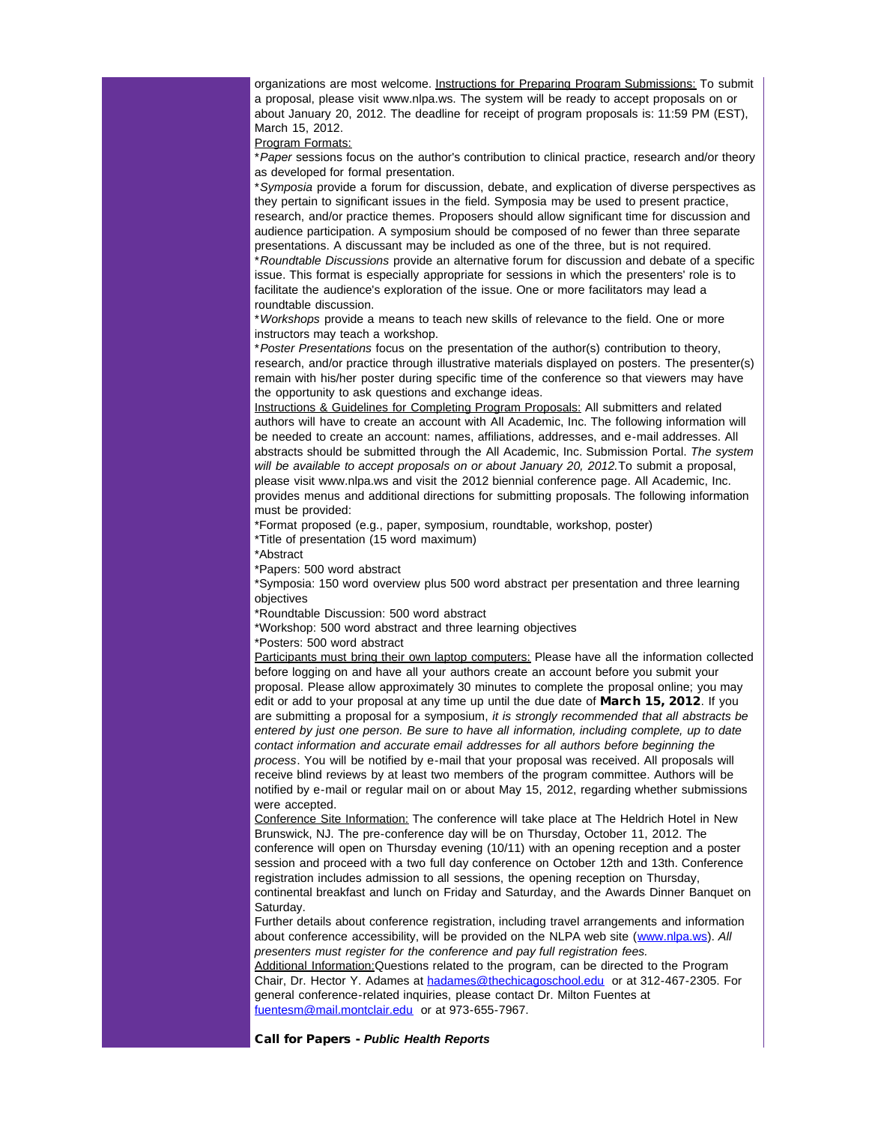organizations are most welcome. Instructions for Preparing Program Submissions: To submit a proposal, please visit www.nlpa.ws. The system will be ready to accept proposals on or about January 20, 2012. The deadline for receipt of program proposals is: 11:59 PM (EST), March 15, 2012.

Program Formats:

\**Paper* sessions focus on the author's contribution to clinical practice, research and/or theory as developed for formal presentation.

\**Symposia* provide a forum for discussion, debate, and explication of diverse perspectives as they pertain to significant issues in the field. Symposia may be used to present practice, research, and/or practice themes. Proposers should allow significant time for discussion and audience participation. A symposium should be composed of no fewer than three separate presentations. A discussant may be included as one of the three, but is not required. \**Roundtable Discussions* provide an alternative forum for discussion and debate of a specific issue. This format is especially appropriate for sessions in which the presenters' role is to facilitate the audience's exploration of the issue. One or more facilitators may lead a roundtable discussion.

\**Workshops* provide a means to teach new skills of relevance to the field. One or more instructors may teach a workshop.

\**Poster Presentations* focus on the presentation of the author(s) contribution to theory, research, and/or practice through illustrative materials displayed on posters. The presenter(s) remain with his/her poster during specific time of the conference so that viewers may have the opportunity to ask questions and exchange ideas.

Instructions & Guidelines for Completing Program Proposals: All submitters and related authors will have to create an account with All Academic, Inc. The following information will be needed to create an account: names, affiliations, addresses, and e-mail addresses. All abstracts should be submitted through the All Academic, Inc. Submission Portal. *The system will be available to accept proposals on or about January 20, 2012.*To submit a proposal, please visit www.nlpa.ws and visit the 2012 biennial conference page. All Academic, Inc. provides menus and additional directions for submitting proposals. The following information must be provided:

\*Format proposed (e.g., paper, symposium, roundtable, workshop, poster) \*Title of presentation (15 word maximum)

\*Abstract

\*Papers: 500 word abstract

\*Symposia: 150 word overview plus 500 word abstract per presentation and three learning objectives

\*Roundtable Discussion: 500 word abstract

\*Workshop: 500 word abstract and three learning objectives

\*Posters: 500 word abstract

Participants must bring their own laptop computers: Please have all the information collected before logging on and have all your authors create an account before you submit your proposal. Please allow approximately 30 minutes to complete the proposal online; you may edit or add to your proposal at any time up until the due date of March 15, 2012. If you are submitting a proposal for a symposium, *it is strongly recommended that all abstracts be entered by just one person. Be sure to have all information, including complete, up to date contact information and accurate email addresses for all authors before beginning the process*. You will be notified by e-mail that your proposal was received. All proposals will receive blind reviews by at least two members of the program committee. Authors will be notified by e-mail or regular mail on or about May 15, 2012, regarding whether submissions were accepted.

Conference Site Information: The conference will take place at The Heldrich Hotel in New Brunswick, NJ. The pre-conference day will be on Thursday, October 11, 2012. The conference will open on Thursday evening (10/11) with an opening reception and a poster session and proceed with a two full day conference on October 12th and 13th. Conference registration includes admission to all sessions, the opening reception on Thursday, continental breakfast and lunch on Friday and Saturday, and the Awards Dinner Banquet on Saturday.

Further details about conference registration, including travel arrangements and information about conference accessibility, will be provided on the NLPA web site ([www.nlpa.ws](http://r20.rs6.net/tn.jsp?llr=5gytkqcab&et=1109261311711&s=1&e=0019XB6j_nEkoyWxzrIjpHVtBTmopGsWUaBZWTB9OOc3Kt3wP31RvdAKit7bbCqJVgrvNosNjbpSJ72AY3hjFCKYezjb8K0-LXTFbFSlEpd_7U=)). *All presenters must register for the conference and pay full registration fees.*

Additional Information:Questions related to the program, can be directed to the Program Chair, Dr. Hector Y. Adames at [hadames@thechicagoschool.edu](mailto:hadames@thechicagoschool.edu) or at 312-467-2305. For general conference-related inquiries, please contact Dr. Milton Fuentes at [fuentesm@mail.montclair.edu](mailto:fuentesm@mail.montclair.edu) or at 973-655-7967.

Call for Papers - *Public Health Reports*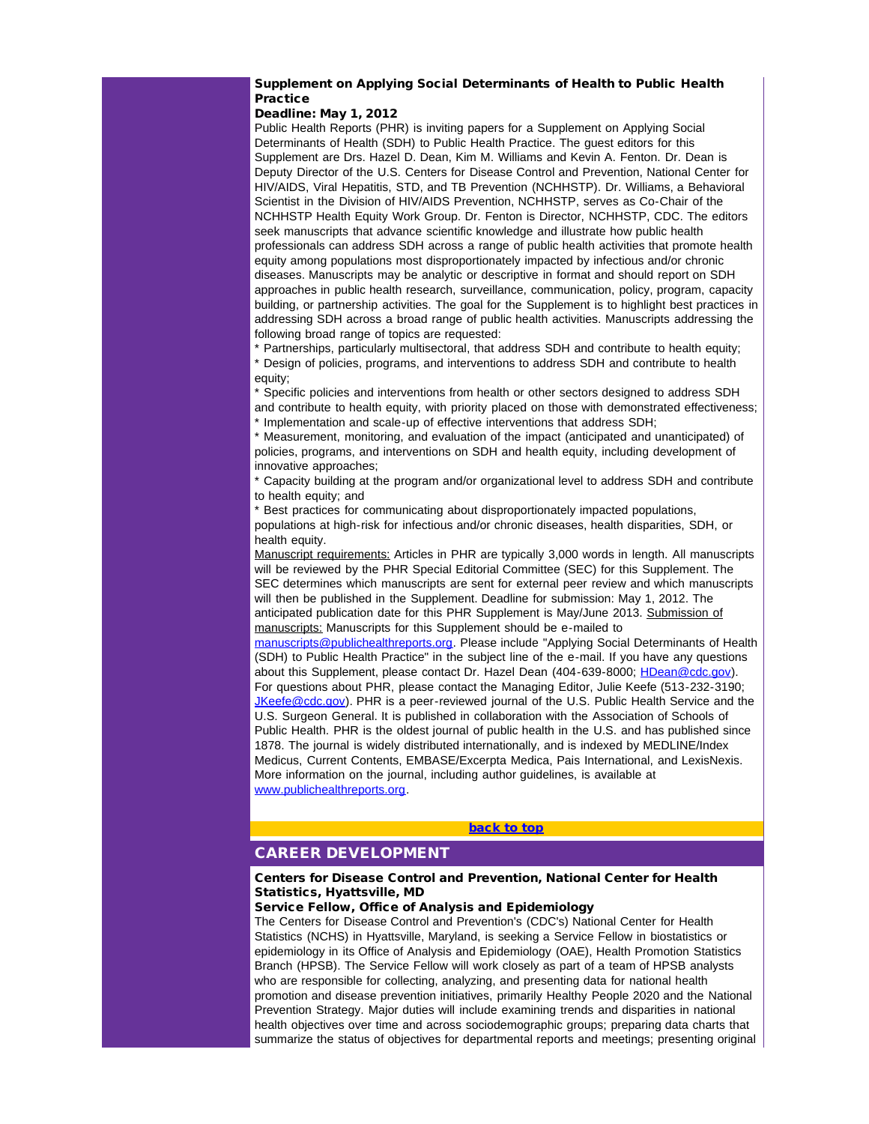# Supplement on Applying Social Determinants of Health to Public Health **Practice**

# Deadline: May 1, 2012

Public Health Reports (PHR) is inviting papers for a Supplement on Applying Social Determinants of Health (SDH) to Public Health Practice. The guest editors for this Supplement are Drs. Hazel D. Dean, Kim M. Williams and Kevin A. Fenton. Dr. Dean is Deputy Director of the U.S. Centers for Disease Control and Prevention, National Center for HIV/AIDS, Viral Hepatitis, STD, and TB Prevention (NCHHSTP). Dr. Williams, a Behavioral Scientist in the Division of HIV/AIDS Prevention, NCHHSTP, serves as Co-Chair of the NCHHSTP Health Equity Work Group. Dr. Fenton is Director, NCHHSTP, CDC. The editors seek manuscripts that advance scientific knowledge and illustrate how public health professionals can address SDH across a range of public health activities that promote health equity among populations most disproportionately impacted by infectious and/or chronic diseases. Manuscripts may be analytic or descriptive in format and should report on SDH approaches in public health research, surveillance, communication, policy, program, capacity building, or partnership activities. The goal for the Supplement is to highlight best practices in addressing SDH across a broad range of public health activities. Manuscripts addressing the following broad range of topics are requested:

\* Partnerships, particularly multisectoral, that address SDH and contribute to health equity; \* Design of policies, programs, and interventions to address SDH and contribute to health

equity; \* Specific policies and interventions from health or other sectors designed to address SDH and contribute to health equity, with priority placed on those with demonstrated effectiveness; \* Implementation and scale-up of effective interventions that address SDH;

\* Measurement, monitoring, and evaluation of the impact (anticipated and unanticipated) of policies, programs, and interventions on SDH and health equity, including development of innovative approaches;

\* Capacity building at the program and/or organizational level to address SDH and contribute to health equity; and

\* Best practices for communicating about disproportionately impacted populations, populations at high-risk for infectious and/or chronic diseases, health disparities, SDH, or health equity.

Manuscript requirements: Articles in PHR are typically 3,000 words in length. All manuscripts will be reviewed by the PHR Special Editorial Committee (SEC) for this Supplement. The SEC determines which manuscripts are sent for external peer review and which manuscripts will then be published in the Supplement. Deadline for submission: May 1, 2012. The anticipated publication date for this PHR Supplement is May/June 2013. Submission of manuscripts: Manuscripts for this Supplement should be e-mailed to

<span id="page-5-0"></span>[manuscripts@publichealthreports.org](mailto:manuscripts@publichealthreports.org?). Please include "Applying Social Determinants of Health (SDH) to Public Health Practice" in the subject line of the e-mail. If you have any questions about this Supplement, please contact Dr. Hazel Dean (404-639-8000; [HDean@cdc.gov](mailto:HDean@cdc.gov?)). For questions about PHR, please contact the Managing Editor, Julie Keefe (513-232-3190; [JKeefe@cdc.gov](mailto:JKeefe@cdc.gov?)). PHR is a peer-reviewed journal of the U.S. Public Health Service and the U.S. Surgeon General. It is published in collaboration with the Association of Schools of Public Health. PHR is the oldest journal of public health in the U.S. and has published since 1878. The journal is widely distributed internationally, and is indexed by MEDLINE/Index Medicus, Current Contents, EMBASE/Excerpta Medica, Pais International, and LexisNexis. More information on the journal, including author guidelines, is available at [www.publichealthreports.org](http://r20.rs6.net/tn.jsp?llr=5gytkqcab&et=1109261311711&s=1&e=0019XB6j_nEkozTFltX0jRJ-EUMysVEgsUi4WHctMMMOfPZpjwhsc_5JawBccqFOvc6lg3M5_pnzpXsAkgHSscAt-bABaB6MgRhBQygT8qX0wZnRro6U2c3AA==).

#### [back to top](#page-0-1)

# CAREER DEVELOPMENT

# Centers for Disease Control and Prevention, National Center for Health Statistics, Hyattsville, MD

# Service Fellow, Office of Analysis and Epidemiology

The Centers for Disease Control and Prevention's (CDC's) National Center for Health Statistics (NCHS) in Hyattsville, Maryland, is seeking a Service Fellow in biostatistics or epidemiology in its Office of Analysis and Epidemiology (OAE), Health Promotion Statistics Branch (HPSB). The Service Fellow will work closely as part of a team of HPSB analysts who are responsible for collecting, analyzing, and presenting data for national health promotion and disease prevention initiatives, primarily Healthy People 2020 and the National Prevention Strategy. Major duties will include examining trends and disparities in national health objectives over time and across sociodemographic groups; preparing data charts that summarize the status of objectives for departmental reports and meetings; presenting original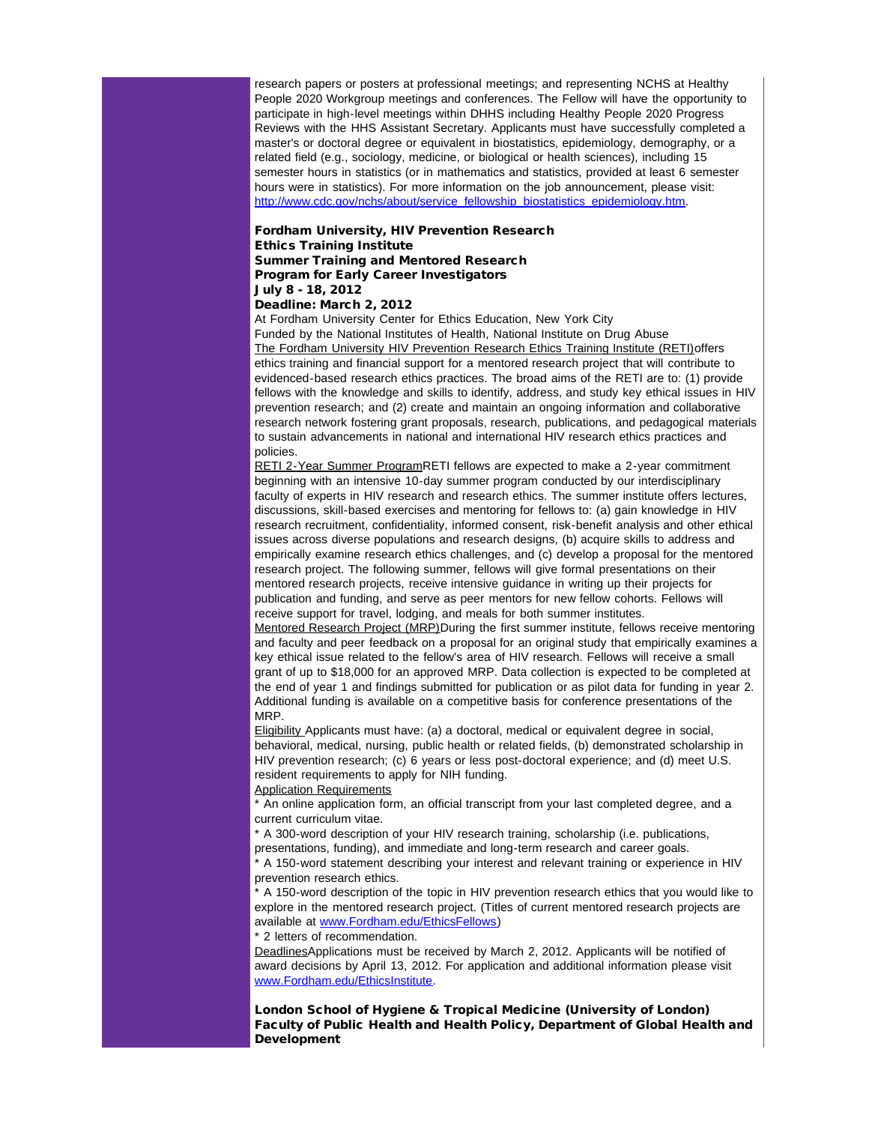research papers or posters at professional meetings; and representing NCHS at Healthy People 2020 Workgroup meetings and conferences. The Fellow will have the opportunity to participate in high-level meetings within DHHS including Healthy People 2020 Progress Reviews with the HHS Assistant Secretary. Applicants must have successfully completed a master's or doctoral degree or equivalent in biostatistics, epidemiology, demography, or a related field (e.g., sociology, medicine, or biological or health sciences), including 15 semester hours in statistics (or in mathematics and statistics, provided at least 6 semester hours were in statistics). For more information on the job announcement, please visit: [http://www.cdc.gov/nchs/about/service\\_fellowship\\_biostatistics\\_epidemiology.htm](http://r20.rs6.net/tn.jsp?llr=5gytkqcab&et=1109261311711&s=1&e=0019XB6j_nEkoxh1cizaAo_Z_ZC3rRAjLNORCt1jX8fSwRg-VvvthBqvVlZ00xFl9dEDjDKqY_Q8j1GYkNYNvSaM1phQVxVIwjVPmbXyrqkNrSfo85yJuxHY2A9a5bVJVnxKzrSuZuoTMHIfu-jf-OtRYESayrEva660NbQ5gPHjVNUIf6WbHSm1Itm3khtseBY).

# Fordham University, HIV Prevention Research Ethics Training Institute Summer Training and Mentored Research Program for Early Career Investigators July 8 - 18, 2012

Deadline: March 2, 2012

At Fordham University Center for Ethics Education, New York City Funded by the National Institutes of Health, National Institute on Drug Abuse The Fordham University HIV Prevention Research Ethics Training Institute (RETI)offers ethics training and financial support for a mentored research project that will contribute to evidenced-based research ethics practices. The broad aims of the RETI are to: (1) provide fellows with the knowledge and skills to identify, address, and study key ethical issues in HIV prevention research; and (2) create and maintain an ongoing information and collaborative research network fostering grant proposals, research, publications, and pedagogical materials to sustain advancements in national and international HIV research ethics practices and policies.

RETI 2-Year Summer ProgramRETI fellows are expected to make a 2-year commitment beginning with an intensive 10-day summer program conducted by our interdisciplinary faculty of experts in HIV research and research ethics. The summer institute offers lectures, discussions, skill-based exercises and mentoring for fellows to: (a) gain knowledge in HIV research recruitment, confidentiality, informed consent, risk-benefit analysis and other ethical issues across diverse populations and research designs, (b) acquire skills to address and empirically examine research ethics challenges, and (c) develop a proposal for the mentored research project. The following summer, fellows will give formal presentations on their mentored research projects, receive intensive guidance in writing up their projects for publication and funding, and serve as peer mentors for new fellow cohorts. Fellows will receive support for travel, lodging, and meals for both summer institutes.

Mentored Research Project (MRP)During the first summer institute, fellows receive mentoring and faculty and peer feedback on a proposal for an original study that empirically examines a key ethical issue related to the fellow's area of HIV research. Fellows will receive a small grant of up to \$18,000 for an approved MRP. Data collection is expected to be completed at the end of year 1 and findings submitted for publication or as pilot data for funding in year 2. Additional funding is available on a competitive basis for conference presentations of the MRP.

Eligibility Applicants must have: (a) a doctoral, medical or equivalent degree in social, behavioral, medical, nursing, public health or related fields, (b) demonstrated scholarship in HIV prevention research; (c) 6 years or less post-doctoral experience; and (d) meet U.S. resident requirements to apply for NIH funding.

#### Application Requirements

\* An online application form, an official transcript from your last completed degree, and a current curriculum vitae.

\* A 300-word description of your HIV research training, scholarship (i.e. publications, presentations, funding), and immediate and long-term research and career goals.

\* A 150-word statement describing your interest and relevant training or experience in HIV prevention research ethics.

\* A 150-word description of the topic in HIV prevention research ethics that you would like to explore in the mentored research project. (Titles of current mentored research projects are available at [www.Fordham.edu/EthicsFellows](http://r20.rs6.net/tn.jsp?llr=5gytkqcab&et=1109261311711&s=1&e=0019XB6j_nEkozfljZzD5COy5Wjd2TJPaNRSBcM3n4DbkSeH4TXvo0OatdBmCXITN7cCIxTTxyoZOV_6OwsRuoHpA9qG3d6hzvhZv1NyXqT-cLiMDN1uAJXqaE-DwuOjDVj))

\* 2 letters of recommendation.

DeadlinesApplications must be received by March 2, 2012. Applicants will be notified of award decisions by April 13, 2012. For application and additional information please visit [www.Fordham.edu/EthicsInstitute](http://r20.rs6.net/tn.jsp?llr=5gytkqcab&et=1109261311711&s=1&e=0019XB6j_nEkozmmTG1Hfel9BsoLa_XinF5WaSiJ2xeW7FM8KtpwmOcATqb7ti_grG2SneJ0coeLJKONqtb4iHf0CPRzl6hCF_F0DrN7Z_mpSFWrKDfOCavax4QAVzfWewd).

London School of Hygiene & Tropical Medicine (University of London) Faculty of Public Health and Health Policy, Department of Global Health and Development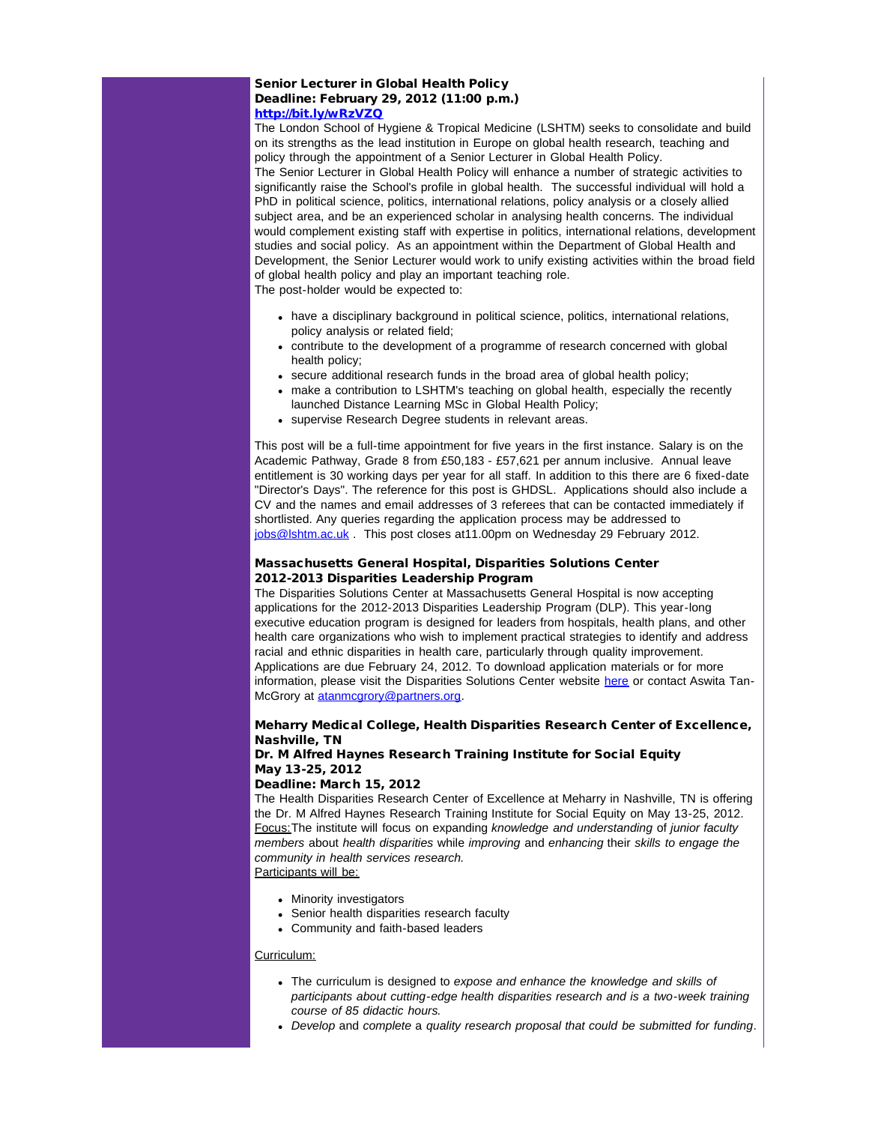# Senior Lecturer in Global Health Policy Deadline: February 29, 2012 (11:00 p.m.) [http://bit.ly/wRzVZQ](http://r20.rs6.net/tn.jsp?llr=5gytkqcab&et=1109261311711&s=1&e=0019XB6j_nEkow689Dj4GR-PYljX1PyAylC5x1onPiMGj_Hf08lyovr2l-EFKhgDL7KI8sHZbdXSjAPzeIn77RyIoyimTaOxO-dVvGYQ_M4O3c=)

The London School of Hygiene & Tropical Medicine (LSHTM) seeks to consolidate and build on its strengths as the lead institution in Europe on global health research, teaching and policy through the appointment of a Senior Lecturer in Global Health Policy. The Senior Lecturer in Global Health Policy will enhance a number of strategic activities to significantly raise the School's profile in global health. The successful individual will hold a

PhD in political science, politics, international relations, policy analysis or a closely allied subject area, and be an experienced scholar in analysing health concerns. The individual would complement existing staff with expertise in politics, international relations, development studies and social policy. As an appointment within the Department of Global Health and Development, the Senior Lecturer would work to unify existing activities within the broad field of global health policy and play an important teaching role.

The post-holder would be expected to:

- have a disciplinary background in political science, politics, international relations, policy analysis or related field;
- contribute to the development of a programme of research concerned with global health policy;
- secure additional research funds in the broad area of global health policy;
- make a contribution to LSHTM's teaching on global health, especially the recently launched Distance Learning MSc in Global Health Policy;
- supervise Research Degree students in relevant areas.

This post will be a full-time appointment for five years in the first instance. Salary is on the Academic Pathway, Grade 8 from £50,183 - £57,621 per annum inclusive. Annual leave entitlement is 30 working days per year for all staff. In addition to this there are 6 fixed-date "Director's Days". The reference for this post is GHDSL. Applications should also include a CV and the names and email addresses of 3 referees that can be contacted immediately if shortlisted. Any queries regarding the application process may be addressed to [jobs@lshtm.ac.uk](mailto:jobs@lshtm.ac.uk) . This post closes at 11.00pm on Wednesday 29 February 2012.

# Massachusetts General Hospital, Disparities Solutions Center 2012-2013 Disparities Leadership Program

The Disparities Solutions Center at Massachusetts General Hospital is now accepting applications for the 2012-2013 Disparities Leadership Program (DLP). This year-long executive education program is designed for leaders from hospitals, health plans, and other health care organizations who wish to implement practical strategies to identify and address racial and ethnic disparities in health care, particularly through quality improvement. Applications are due February 24, 2012. To download application materials or for more information, please visit the Disparities Solutions Center website [here](http://r20.rs6.net/tn.jsp?llr=5gytkqcab&et=1109261311711&s=1&e=0019XB6j_nEkozlxDJrnWRmRPY4UIFz_qYFmUBQvP0vvzYWcl_pfPBJkX8ybrdq7j5q3KllnqNwd_qJw6WyWwcwEUReCkOieweSOks81Zzi7Fcsh2TRkxwcCYlcbOGcJWeLQOWvCO3c6Pk_Fwtt257fR-rDW8A560i6Qemu5vygX8o=) or contact Aswita TanMcGrory at [atanmcgrory@partners.org](mailto:atanmcgrory@partners.org?).

# Meharry Medical College, Health Disparities Research Center of Excellence, Nashville, TN

# Dr. M Alfred Haynes Research Training Institute for Social Equity May 13-25, 2012

# Deadline: March 15, 2012

The Health Disparities Research Center of Excellence at Meharry in Nashville, TN is offering the Dr. M Alfred Haynes Research Training Institute for Social Equity on May 13-25, 2012. Focus:The institute will focus on expanding *knowledge and understanding* of *junior faculty members* about *health disparities* while *improving* and *enhancing* their *skills to engage the community in health services research.*

Participants will be:

- Minority investigators
- Senior health disparities research faculty
- Community and faith-based leaders

### Curriculum:

- The curriculum is designed to *expose and enhance the knowledge and skills of participants about cutting-edge health disparities research and is a two-week training course of 85 didactic hours.*
- *Develop* and *complete* a *quality research proposal that could be submitted for funding*.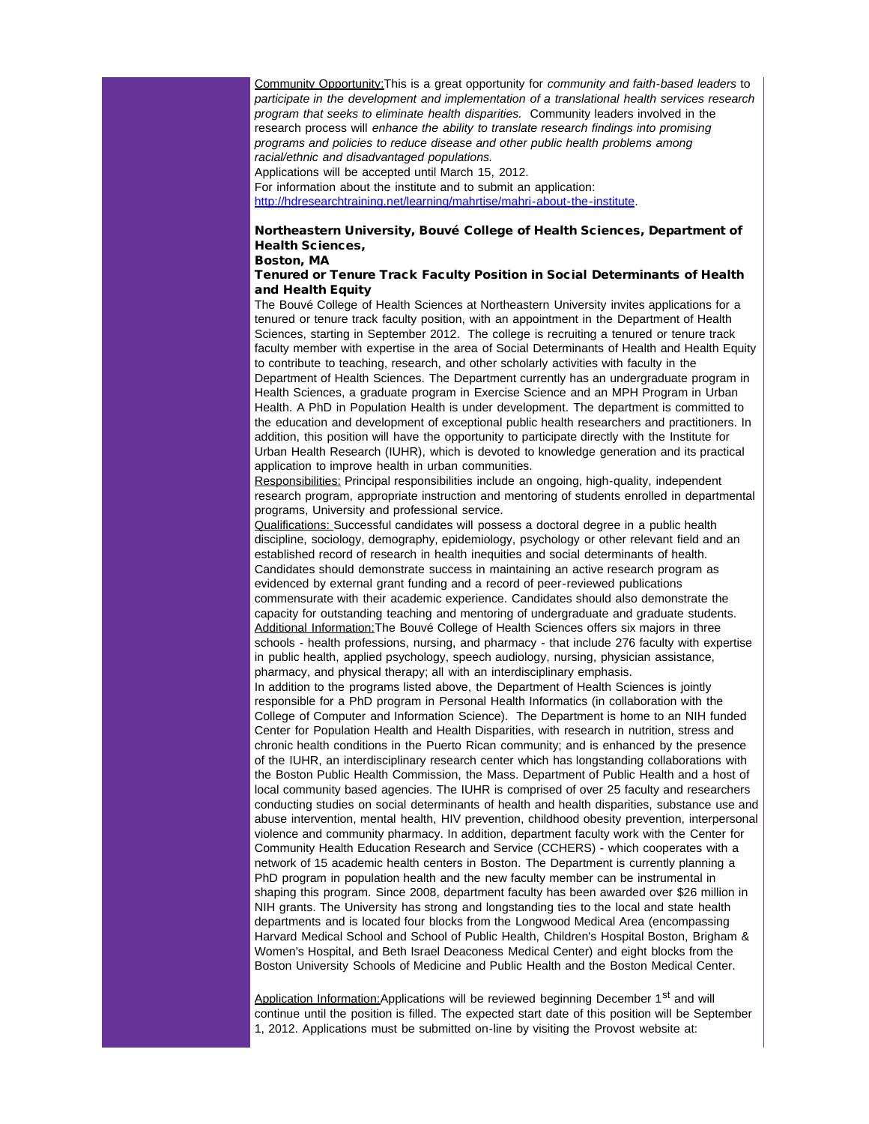Community Opportunity:This is a great opportunity for *community and faith-based leaders* to *participate in the development and implementation of a translational health services research program that seeks to eliminate health disparities.* Community leaders involved in the research process will *enhance the ability to translate research findings into promising programs and policies to reduce disease and other public health problems among racial/ethnic and disadvantaged populations.* Applications will be accepted until March 15, 2012.

For information about the institute and to submit an application: [http://hdresearchtraining.net/learning/mahrtise/mahri-about-the-institute](http://r20.rs6.net/tn.jsp?llr=5gytkqcab&et=1109261311711&s=1&e=0019XB6j_nEkox-iiIU3XUiupQOa1uzuxc9Yyc-ete8n9Ft9xlEs3VAcq2JDWpYZp1lefxMDTPuOjpBUl8KAe03xOsu1lqckwU_eeGbMlmWeDgumtHAj4pBLuBBnuHjtnDussBBMw-3IPVqdIYYjuNtQ_IiynNVV7RmCGorN2oHWR044vLAAmMLHg==).

#### Northeastern University, Bouvé College of Health Sciences, Department of Health Sciences, Boston, MA

# Tenured or Tenure Track Faculty Position in Social Determinants of Health and Health Equity

The Bouvé College of Health Sciences at Northeastern University invites applications for a tenured or tenure track faculty position, with an appointment in the Department of Health Sciences, starting in September 2012. The college is recruiting a tenured or tenure track faculty member with expertise in the area of Social Determinants of Health and Health Equity to contribute to teaching, research, and other scholarly activities with faculty in the Department of Health Sciences. The Department currently has an undergraduate program in Health Sciences, a graduate program in Exercise Science and an MPH Program in Urban Health. A PhD in Population Health is under development. The department is committed to the education and development of exceptional public health researchers and practitioners. In addition, this position will have the opportunity to participate directly with the Institute for Urban Health Research (IUHR), which is devoted to knowledge generation and its practical application to improve health in urban communities.

Responsibilities: Principal responsibilities include an ongoing, high-quality, independent research program, appropriate instruction and mentoring of students enrolled in departmental programs, University and professional service.

Qualifications: Successful candidates will possess a doctoral degree in a public health discipline, sociology, demography, epidemiology, psychology or other relevant field and an established record of research in health inequities and social determinants of health. Candidates should demonstrate success in maintaining an active research program as evidenced by external grant funding and a record of peer-reviewed publications commensurate with their academic experience. Candidates should also demonstrate the capacity for outstanding teaching and mentoring of undergraduate and graduate students. Additional Information:The Bouvé College of Health Sciences offers six majors in three schools - health professions, nursing, and pharmacy - that include 276 faculty with expertise in public health, applied psychology, speech audiology, nursing, physician assistance, pharmacy, and physical therapy; all with an interdisciplinary emphasis.

In addition to the programs listed above, the Department of Health Sciences is jointly responsible for a PhD program in Personal Health Informatics (in collaboration with the College of Computer and Information Science). The Department is home to an NIH funded Center for Population Health and Health Disparities, with research in nutrition, stress and chronic health conditions in the Puerto Rican community; and is enhanced by the presence of the IUHR, an interdisciplinary research center which has longstanding collaborations with the Boston Public Health Commission, the Mass. Department of Public Health and a host of local community based agencies. The IUHR is comprised of over 25 faculty and researchers conducting studies on social determinants of health and health disparities, substance use and abuse intervention, mental health, HIV prevention, childhood obesity prevention, interpersonal violence and community pharmacy. In addition, department faculty work with the Center for Community Health Education Research and Service (CCHERS) - which cooperates with a network of 15 academic health centers in Boston. The Department is currently planning a PhD program in population health and the new faculty member can be instrumental in shaping this program. Since 2008, department faculty has been awarded over \$26 million in NIH grants. The University has strong and longstanding ties to the local and state health departments and is located four blocks from the Longwood Medical Area (encompassing Harvard Medical School and School of Public Health, Children's Hospital Boston, Brigham & Women's Hospital, and Beth Israel Deaconess Medical Center) and eight blocks from the Boston University Schools of Medicine and Public Health and the Boston Medical Center.

Application Information: Applications will be reviewed beginning December 1<sup>st</sup> and will continue until the position is filled. The expected start date of this position will be September 1, 2012. Applications must be submitted on-line by visiting the Provost website at: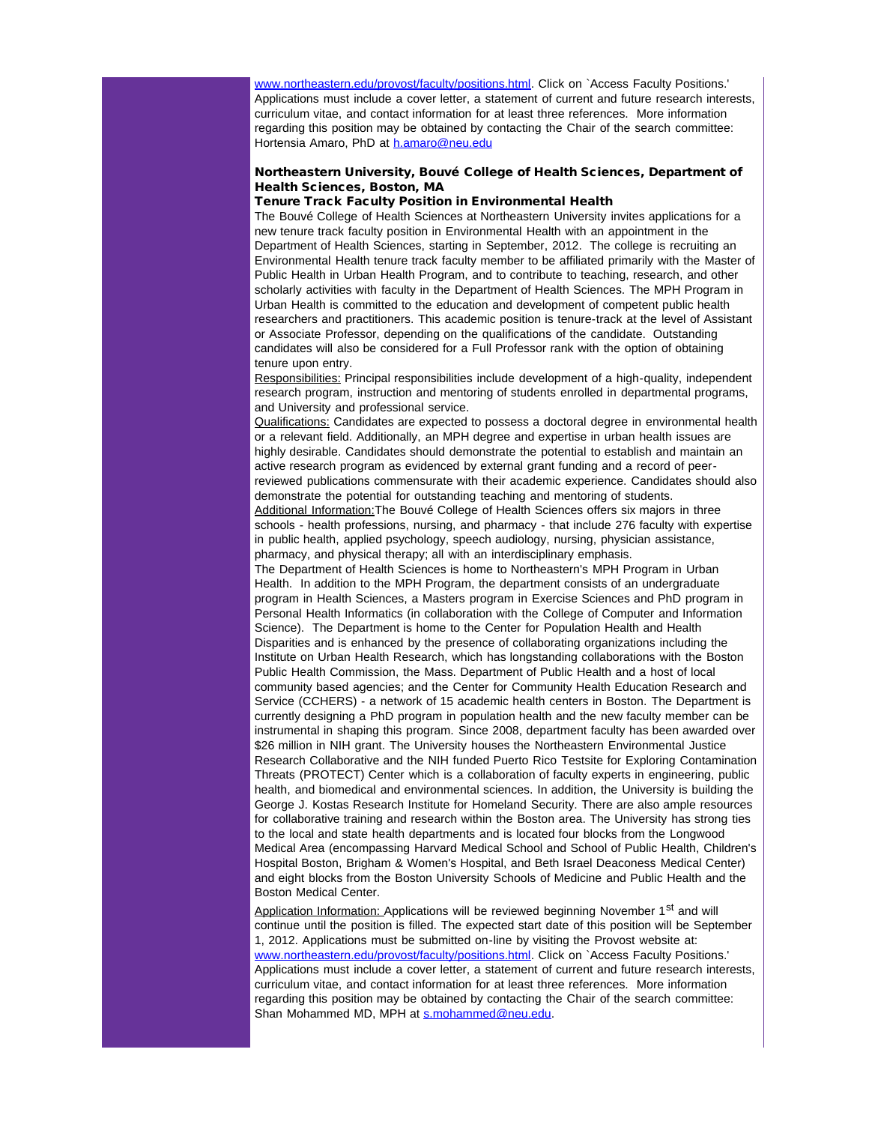[www.northeastern.edu/provost/faculty/positions.html](http://r20.rs6.net/tn.jsp?llr=5gytkqcab&et=1109261311711&s=1&e=0019XB6j_nEkowAg3JKGR9o-VnZBAbnXijFsCimfNPeBCWBOqFjQgYGv07_T-4EmKQAJVj2UVhi-Lw2JUFUIMuycsgsrCQuDbmkwV0dQGSRz8WXcFlUN8mr6KPz7gsS7A2wmP30gN0x_6jZnWSGzPJLrpv-Y4HYqKwo)</u>. Click on `Access Faculty Positions.' Applications must include a cover letter, a statement of current and future research interests, curriculum vitae, and contact information for at least three references. More information regarding this position may be obtained by contacting the Chair of the search committee: Hortensia Amaro, PhD at [h.amaro@neu.edu](mailto:h.amaro@neu.edu?)

# Northeastern University, Bouvé College of Health Sciences, Department of Health Sciences, Boston, MA

# Tenure Track Faculty Position in Environmental Health

The Bouvé College of Health Sciences at Northeastern University invites applications for a new tenure track faculty position in Environmental Health with an appointment in the Department of Health Sciences, starting in September, 2012. The college is recruiting an Environmental Health tenure track faculty member to be affiliated primarily with the Master of Public Health in Urban Health Program, and to contribute to teaching, research, and other scholarly activities with faculty in the Department of Health Sciences. The MPH Program in Urban Health is committed to the education and development of competent public health researchers and practitioners. This academic position is tenure-track at the level of Assistant or Associate Professor, depending on the qualifications of the candidate. Outstanding candidates will also be considered for a Full Professor rank with the option of obtaining tenure upon entry.

Responsibilities: Principal responsibilities include development of a high-quality, independent research program, instruction and mentoring of students enrolled in departmental programs, and University and professional service.

Qualifications: Candidates are expected to possess a doctoral degree in environmental health or a relevant field. Additionally, an MPH degree and expertise in urban health issues are highly desirable. Candidates should demonstrate the potential to establish and maintain an active research program as evidenced by external grant funding and a record of peerreviewed publications commensurate with their academic experience. Candidates should also demonstrate the potential for outstanding teaching and mentoring of students. Additional Information:The Bouvé College of Health Sciences offers six majors in three schools - health professions, nursing, and pharmacy - that include 276 faculty with expertise

in public health, applied psychology, speech audiology, nursing, physician assistance, pharmacy, and physical therapy; all with an interdisciplinary emphasis.

The Department of Health Sciences is home to Northeastern's MPH Program in Urban Health. In addition to the MPH Program, the department consists of an undergraduate program in Health Sciences, a Masters program in Exercise Sciences and PhD program in Personal Health Informatics (in collaboration with the College of Computer and Information Science). The Department is home to the Center for Population Health and Health Disparities and is enhanced by the presence of collaborating organizations including the Institute on Urban Health Research, which has longstanding collaborations with the Boston Public Health Commission, the Mass. Department of Public Health and a host of local community based agencies; and the Center for Community Health Education Research and Service (CCHERS) - a network of 15 academic health centers in Boston. The Department is currently designing a PhD program in population health and the new faculty member can be instrumental in shaping this program. Since 2008, department faculty has been awarded over \$26 million in NIH grant. The University houses the Northeastern Environmental Justice Research Collaborative and the NIH funded Puerto Rico Testsite for Exploring Contamination Threats (PROTECT) Center which is a collaboration of faculty experts in engineering, public health, and biomedical and environmental sciences. In addition, the University is building the George J. Kostas Research Institute for Homeland Security. There are also ample resources for collaborative training and research within the Boston area. The University has strong ties to the local and state health departments and is located four blocks from the Longwood Medical Area (encompassing Harvard Medical School and School of Public Health, Children's Hospital Boston, Brigham & Women's Hospital, and Beth Israel Deaconess Medical Center) and eight blocks from the Boston University Schools of Medicine and Public Health and the Boston Medical Center.

Application Information: Applications will be reviewed beginning November 1<sup>st</sup> and will continue until the position is filled. The expected start date of this position will be September 1, 2012. Applications must be submitted on-line by visiting the Provost website at: [www.northeastern.edu/provost/faculty/positions.html](http://r20.rs6.net/tn.jsp?llr=5gytkqcab&et=1109261311711&s=1&e=0019XB6j_nEkowAg3JKGR9o-VnZBAbnXijFsCimfNPeBCWBOqFjQgYGv07_T-4EmKQAJVj2UVhi-Lw2JUFUIMuycsgsrCQuDbmkwV0dQGSRz8WXcFlUN8mr6KPz7gsS7A2wmP30gN0x_6jZnWSGzPJLrpv-Y4HYqKwo). Click on `Access Faculty Positions.' Applications must include a cover letter, a statement of current and future research interests, curriculum vitae, and contact information for at least three references. More information regarding this position may be obtained by contacting the Chair of the search committee: Shan Mohammed MD, MPH at [s.mohammed@neu.edu.](mailto:s.mohammed@neu.edu?)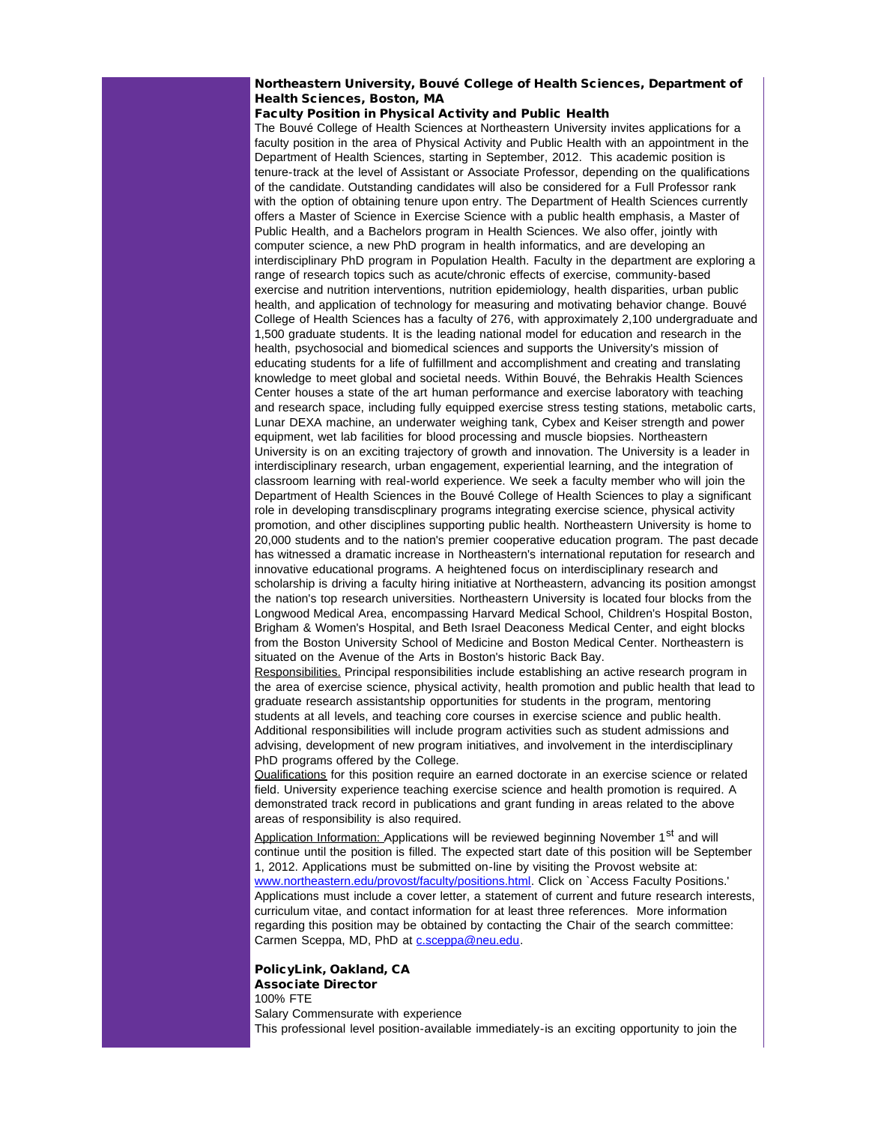# Northeastern University, Bouvé College of Health Sciences, Department of Health Sciences, Boston, MA

# Faculty Position in Physical Activity and Public Health

The Bouvé College of Health Sciences at Northeastern University invites applications for a faculty position in the area of Physical Activity and Public Health with an appointment in the Department of Health Sciences, starting in September, 2012. This academic position is tenure-track at the level of Assistant or Associate Professor, depending on the qualifications of the candidate. Outstanding candidates will also be considered for a Full Professor rank with the option of obtaining tenure upon entry. The Department of Health Sciences currently offers a Master of Science in Exercise Science with a public health emphasis, a Master of Public Health, and a Bachelors program in Health Sciences. We also offer, jointly with computer science, a new PhD program in health informatics, and are developing an interdisciplinary PhD program in Population Health. Faculty in the department are exploring a range of research topics such as acute/chronic effects of exercise, community-based exercise and nutrition interventions, nutrition epidemiology, health disparities, urban public health, and application of technology for measuring and motivating behavior change. Bouvé College of Health Sciences has a faculty of 276, with approximately 2,100 undergraduate and 1,500 graduate students. It is the leading national model for education and research in the health, psychosocial and biomedical sciences and supports the University's mission of educating students for a life of fulfillment and accomplishment and creating and translating knowledge to meet global and societal needs. Within Bouvé, the Behrakis Health Sciences Center houses a state of the art human performance and exercise laboratory with teaching and research space, including fully equipped exercise stress testing stations, metabolic carts, Lunar DEXA machine, an underwater weighing tank, Cybex and Keiser strength and power equipment, wet lab facilities for blood processing and muscle biopsies. Northeastern University is on an exciting trajectory of growth and innovation. The University is a leader in interdisciplinary research, urban engagement, experiential learning, and the integration of classroom learning with real-world experience. We seek a faculty member who will join the Department of Health Sciences in the Bouvé College of Health Sciences to play a significant role in developing transdiscplinary programs integrating exercise science, physical activity promotion, and other disciplines supporting public health. Northeastern University is home to 20,000 students and to the nation's premier cooperative education program. The past decade has witnessed a dramatic increase in Northeastern's international reputation for research and innovative educational programs. A heightened focus on interdisciplinary research and scholarship is driving a faculty hiring initiative at Northeastern, advancing its position amongst the nation's top research universities. Northeastern University is located four blocks from the Longwood Medical Area, encompassing Harvard Medical School, Children's Hospital Boston, Brigham & Women's Hospital, and Beth Israel Deaconess Medical Center, and eight blocks from the Boston University School of Medicine and Boston Medical Center. Northeastern is situated on the Avenue of the Arts in Boston's historic Back Bay.

Responsibilities. Principal responsibilities include establishing an active research program in the area of exercise science, physical activity, health promotion and public health that lead to graduate research assistantship opportunities for students in the program, mentoring students at all levels, and teaching core courses in exercise science and public health. Additional responsibilities will include program activities such as student admissions and advising, development of new program initiatives, and involvement in the interdisciplinary PhD programs offered by the College.

Qualifications for this position require an earned doctorate in an exercise science or related field. University experience teaching exercise science and health promotion is required. A demonstrated track record in publications and grant funding in areas related to the above areas of responsibility is also required.

Application Information: Applications will be reviewed beginning November 1<sup>st</sup> and will continue until the position is filled. The expected start date of this position will be September 1, 2012. Applications must be submitted on-line by visiting the Provost website at: [www.northeastern.edu/provost/faculty/positions.html](http://r20.rs6.net/tn.jsp?llr=5gytkqcab&et=1109261311711&s=1&e=0019XB6j_nEkowAg3JKGR9o-VnZBAbnXijFsCimfNPeBCWBOqFjQgYGv07_T-4EmKQAJVj2UVhi-Lw2JUFUIMuycsgsrCQuDbmkwV0dQGSRz8WXcFlUN8mr6KPz7gsS7A2wmP30gN0x_6jZnWSGzPJLrpv-Y4HYqKwo). Click on `Access Faculty Positions.' Applications must include a cover letter, a statement of current and future research interests, curriculum vitae, and contact information for at least three references. More information regarding this position may be obtained by contacting the Chair of the search committee: Carmen Sceppa, MD, PhD at [c.sceppa@neu.edu](mailto:c.sceppa@neu.edu?).

PolicyLink, Oakland, CA Associate Director 100% FTE Salary Commensurate with experience This professional level position-available immediately-is an exciting opportunity to join the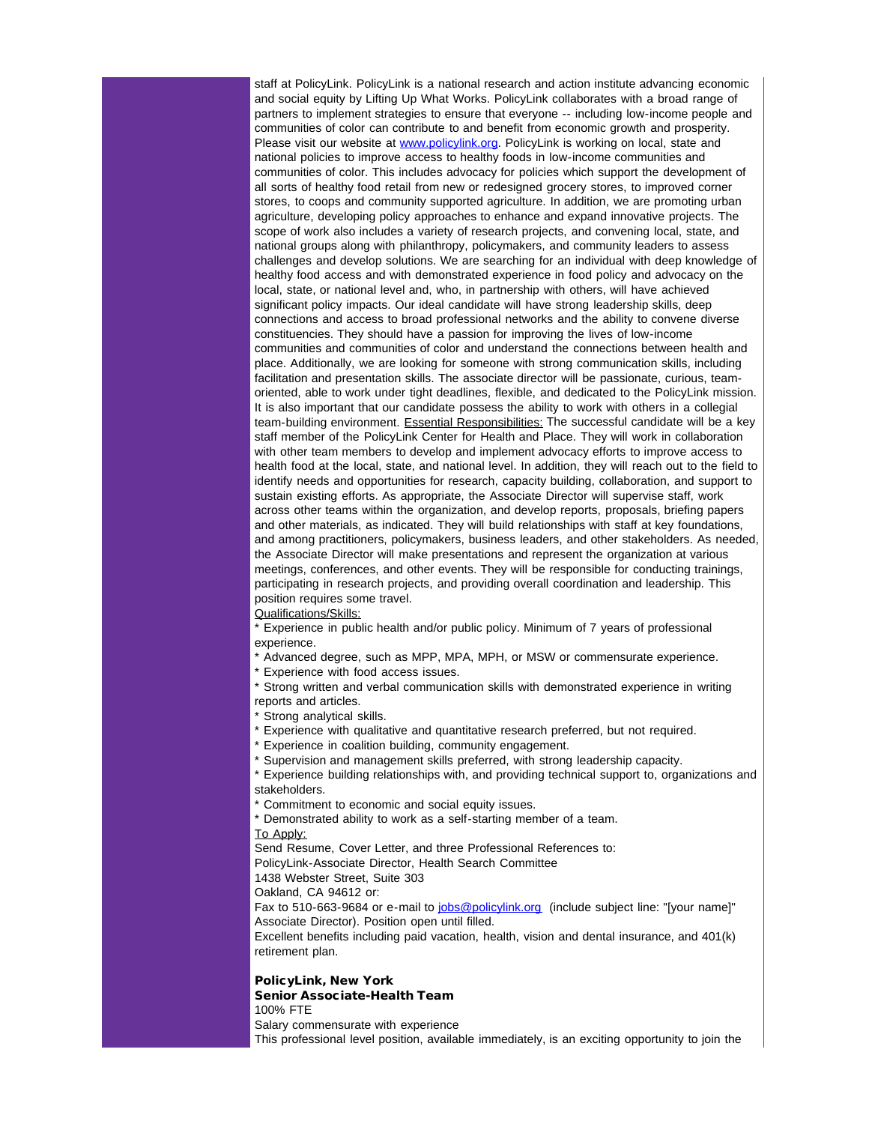staff at PolicyLink. PolicyLink is a national research and action institute advancing economic and social equity by Lifting Up What Works. PolicyLink collaborates with a broad range of partners to implement strategies to ensure that everyone -- including low-income people and communities of color can contribute to and benefit from economic growth and prosperity. Please visit our website at [www.policylink.org.](http://r20.rs6.net/tn.jsp?llr=5gytkqcab&et=1109261311711&s=1&e=0019XB6j_nEkowzd4dEoOIMQ2wMp6-PaLxUgPXX9LwwqYahUHGM5GhCKasqN3fTl9DyePis6qWD160xVQc-iDpoEhjLgclsYTdn_MUJFoRV5HfNdWhQKHQOIg==) PolicyLink is working on local, state and national policies to improve access to healthy foods in low-income communities and communities of color. This includes advocacy for policies which support the development of all sorts of healthy food retail from new or redesigned grocery stores, to improved corner stores, to coops and community supported agriculture. In addition, we are promoting urban agriculture, developing policy approaches to enhance and expand innovative projects. The scope of work also includes a variety of research projects, and convening local, state, and national groups along with philanthropy, policymakers, and community leaders to assess challenges and develop solutions. We are searching for an individual with deep knowledge of healthy food access and with demonstrated experience in food policy and advocacy on the local, state, or national level and, who, in partnership with others, will have achieved significant policy impacts. Our ideal candidate will have strong leadership skills, deep connections and access to broad professional networks and the ability to convene diverse constituencies. They should have a passion for improving the lives of low-income communities and communities of color and understand the connections between health and place. Additionally, we are looking for someone with strong communication skills, including facilitation and presentation skills. The associate director will be passionate, curious, teamoriented, able to work under tight deadlines, flexible, and dedicated to the PolicyLink mission. It is also important that our candidate possess the ability to work with others in a collegial team-building environment. Essential Responsibilities: The successful candidate will be a key staff member of the PolicyLink Center for Health and Place. They will work in collaboration with other team members to develop and implement advocacy efforts to improve access to health food at the local, state, and national level. In addition, they will reach out to the field to identify needs and opportunities for research, capacity building, collaboration, and support to sustain existing efforts. As appropriate, the Associate Director will supervise staff, work across other teams within the organization, and develop reports, proposals, briefing papers and other materials, as indicated. They will build relationships with staff at key foundations, and among practitioners, policymakers, business leaders, and other stakeholders. As needed, the Associate Director will make presentations and represent the organization at various meetings, conferences, and other events. They will be responsible for conducting trainings, participating in research projects, and providing overall coordination and leadership. This position requires some travel.

Qualifications/Skills:

\* Experience in public health and/or public policy. Minimum of 7 years of professional experience.

\* Advanced degree, such as MPP, MPA, MPH, or MSW or commensurate experience.

\* Experience with food access issues.

\* Strong written and verbal communication skills with demonstrated experience in writing reports and articles.

\* Strong analytical skills.

\* Experience with qualitative and quantitative research preferred, but not required.

\* Experience in coalition building, community engagement.

\* Supervision and management skills preferred, with strong leadership capacity.

\* Experience building relationships with, and providing technical support to, organizations and stakeholders.

\* Commitment to economic and social equity issues.

\* Demonstrated ability to work as a self-starting member of a team.

To Apply:

Send Resume, Cover Letter, and three Professional References to:

PolicyLink-Associate Director, Health Search Committee

1438 Webster Street, Suite 303

Oakland, CA 94612 or:

Fax to 510-663-9684 or e-mail to [jobs@policylink.org](mailto:jobs@policylink.org?) (include subject line: "[your name]" Associate Director). Position open until filled.

Excellent benefits including paid vacation, health, vision and dental insurance, and 401(k) retirement plan.

PolicyLink, New York Senior Associate-Health Team

100% FTE

Salary commensurate with experience

This professional level position, available immediately, is an exciting opportunity to join the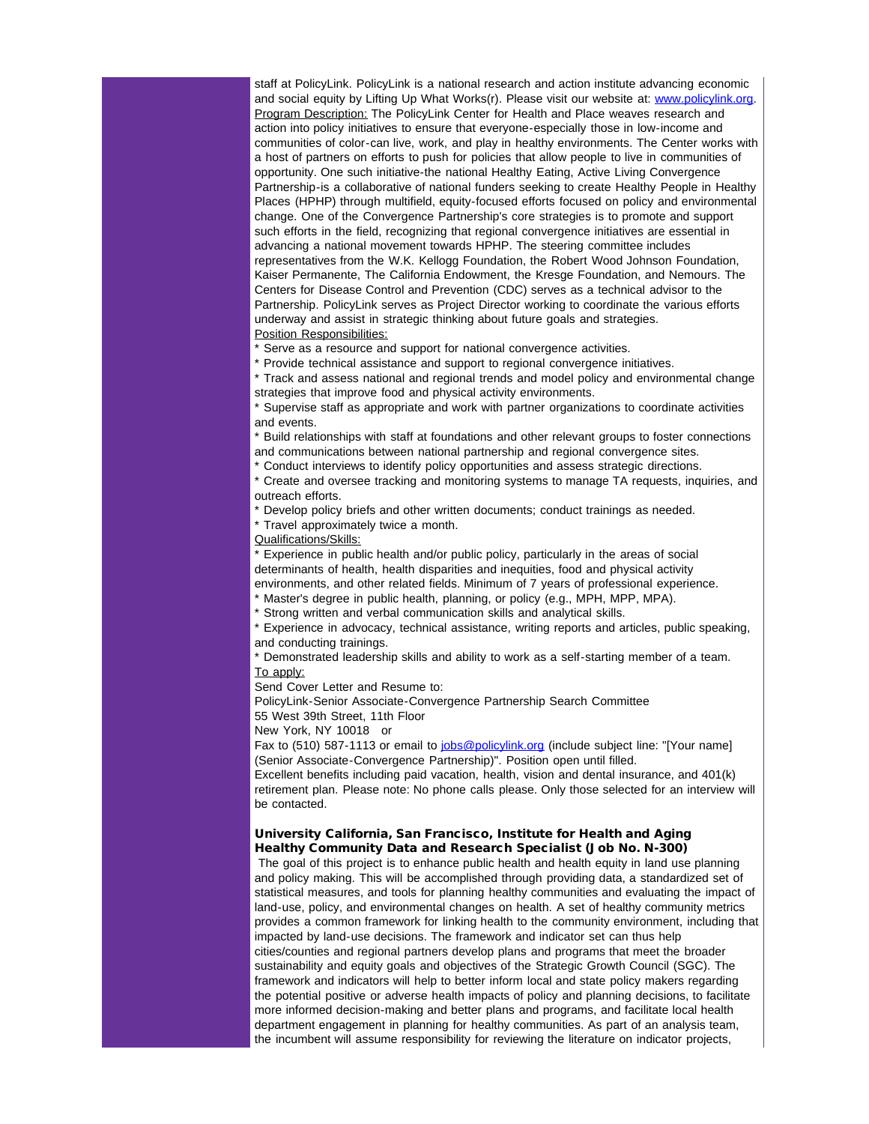staff at PolicyLink. PolicyLink is a national research and action institute advancing economic and social equity by Lifting Up What Works(r). Please visit our website at: [www.policylink.org.](http://r20.rs6.net/tn.jsp?llr=5gytkqcab&et=1109261311711&s=1&e=0019XB6j_nEkowzd4dEoOIMQ2wMp6-PaLxUgPXX9LwwqYahUHGM5GhCKasqN3fTl9DyePis6qWD160xVQc-iDpoEhjLgclsYTdn_MUJFoRV5HfNdWhQKHQOIg==) Program Description: The PolicyLink Center for Health and Place weaves research and action into policy initiatives to ensure that everyone-especially those in low-income and communities of color-can live, work, and play in healthy environments. The Center works with a host of partners on efforts to push for policies that allow people to live in communities of opportunity. One such initiative-the national Healthy Eating, Active Living Convergence Partnership-is a collaborative of national funders seeking to create Healthy People in Healthy Places (HPHP) through multifield, equity-focused efforts focused on policy and environmental change. One of the Convergence Partnership's core strategies is to promote and support such efforts in the field, recognizing that regional convergence initiatives are essential in advancing a national movement towards HPHP. The steering committee includes representatives from the W.K. Kellogg Foundation, the Robert Wood Johnson Foundation, Kaiser Permanente, The California Endowment, the Kresge Foundation, and Nemours. The Centers for Disease Control and Prevention (CDC) serves as a technical advisor to the Partnership. PolicyLink serves as Project Director working to coordinate the various efforts underway and assist in strategic thinking about future goals and strategies. Position Responsibilities:

\* Serve as a resource and support for national convergence activities.

\* Provide technical assistance and support to regional convergence initiatives.

\* Track and assess national and regional trends and model policy and environmental change strategies that improve food and physical activity environments.

\* Supervise staff as appropriate and work with partner organizations to coordinate activities and events.

\* Build relationships with staff at foundations and other relevant groups to foster connections and communications between national partnership and regional convergence sites.

\* Conduct interviews to identify policy opportunities and assess strategic directions.

\* Create and oversee tracking and monitoring systems to manage TA requests, inquiries, and outreach efforts.

\* Develop policy briefs and other written documents; conduct trainings as needed.

\* Travel approximately twice a month.

Qualifications/Skills:

\* Experience in public health and/or public policy, particularly in the areas of social determinants of health, health disparities and inequities, food and physical activity environments, and other related fields. Minimum of 7 years of professional experience. \* Master's degree in public health, planning, or policy (e.g., MPH, MPP, MPA).

\* Strong written and verbal communication skills and analytical skills.

\* Experience in advocacy, technical assistance, writing reports and articles, public speaking, and conducting trainings.

\* Demonstrated leadership skills and ability to work as a self-starting member of a team. To apply:

Send Cover Letter and Resume to:

PolicyLink-Senior Associate-Convergence Partnership Search Committee

55 West 39th Street, 11th Floor

New York, NY 10018 or

Fax to (510) 587-1113 or email to [jobs@policylink.org](mailto:jobs@policylink.org?) (include subject line: "[Your name] (Senior Associate-Convergence Partnership)". Position open until filled.

Excellent benefits including paid vacation, health, vision and dental insurance, and 401(k) retirement plan. Please note: No phone calls please. Only those selected for an interview will be contacted.

# University California, San Francisco, Institute for Health and Aging Healthy Community Data and Research Specialist (Job No. N-300)

The goal of this project is to enhance public health and health equity in land use planning and policy making. This will be accomplished through providing data, a standardized set of statistical measures, and tools for planning healthy communities and evaluating the impact of land-use, policy, and environmental changes on health. A set of healthy community metrics provides a common framework for linking health to the community environment, including that impacted by land-use decisions. The framework and indicator set can thus help cities/counties and regional partners develop plans and programs that meet the broader sustainability and equity goals and objectives of the Strategic Growth Council (SGC). The framework and indicators will help to better inform local and state policy makers regarding the potential positive or adverse health impacts of policy and planning decisions, to facilitate more informed decision-making and better plans and programs, and facilitate local health department engagement in planning for healthy communities. As part of an analysis team, the incumbent will assume responsibility for reviewing the literature on indicator projects,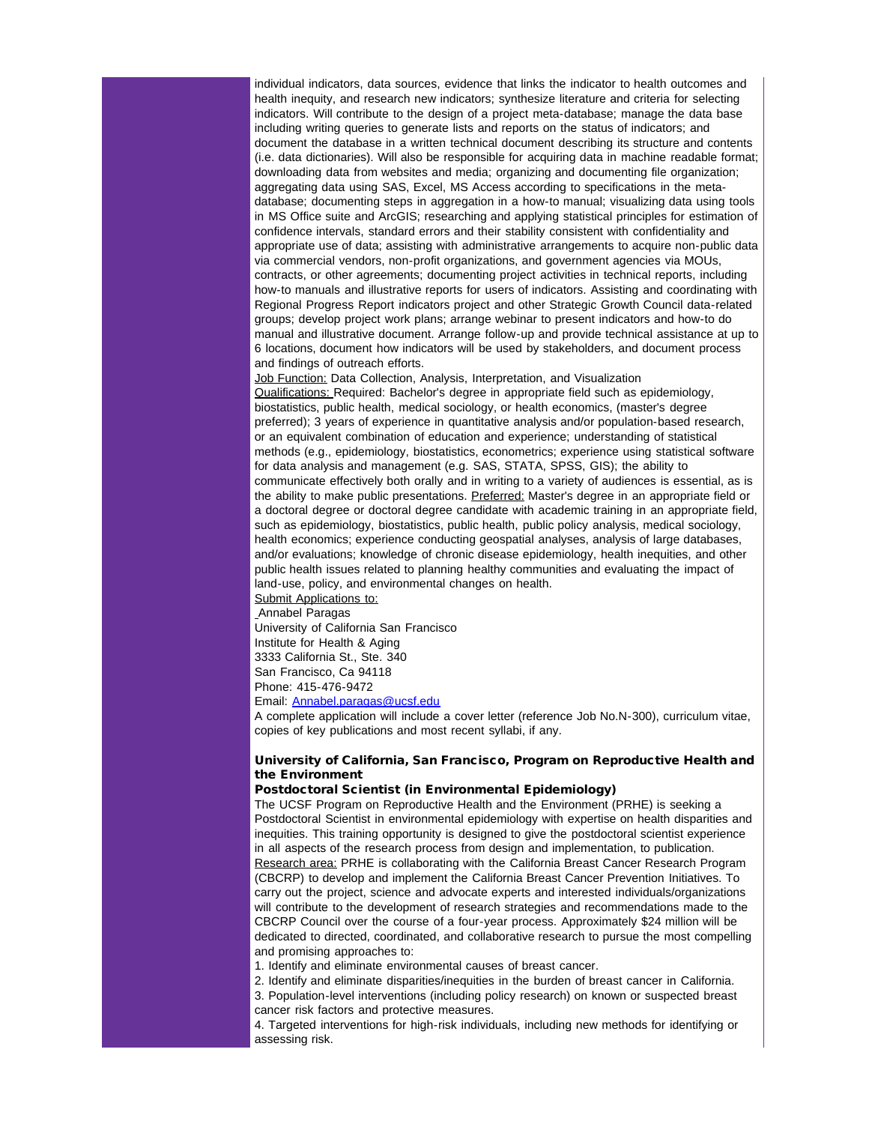individual indicators, data sources, evidence that links the indicator to health outcomes and health inequity, and research new indicators; synthesize literature and criteria for selecting indicators. Will contribute to the design of a project meta-database; manage the data base including writing queries to generate lists and reports on the status of indicators; and document the database in a written technical document describing its structure and contents (i.e. data dictionaries). Will also be responsible for acquiring data in machine readable format; downloading data from websites and media; organizing and documenting file organization; aggregating data using SAS, Excel, MS Access according to specifications in the metadatabase; documenting steps in aggregation in a how-to manual; visualizing data using tools in MS Office suite and ArcGIS; researching and applying statistical principles for estimation of confidence intervals, standard errors and their stability consistent with confidentiality and appropriate use of data; assisting with administrative arrangements to acquire non-public data via commercial vendors, non-profit organizations, and government agencies via MOUs, contracts, or other agreements; documenting project activities in technical reports, including how-to manuals and illustrative reports for users of indicators. Assisting and coordinating with Regional Progress Report indicators project and other Strategic Growth Council data-related groups; develop project work plans; arrange webinar to present indicators and how-to do manual and illustrative document. Arrange follow-up and provide technical assistance at up to 6 locations, document how indicators will be used by stakeholders, and document process and findings of outreach efforts.

Job Function: Data Collection, Analysis, Interpretation, and Visualization Qualifications: Required: Bachelor's degree in appropriate field such as epidemiology, biostatistics, public health, medical sociology, or health economics, (master's degree preferred); 3 years of experience in quantitative analysis and/or population-based research, or an equivalent combination of education and experience; understanding of statistical methods (e.g., epidemiology, biostatistics, econometrics; experience using statistical software for data analysis and management (e.g. SAS, STATA, SPSS, GIS); the ability to communicate effectively both orally and in writing to a variety of audiences is essential, as is the ability to make public presentations. Preferred: Master's degree in an appropriate field or a doctoral degree or doctoral degree candidate with academic training in an appropriate field, such as epidemiology, biostatistics, public health, public policy analysis, medical sociology, health economics; experience conducting geospatial analyses, analysis of large databases, and/or evaluations; knowledge of chronic disease epidemiology, health inequities, and other public health issues related to planning healthy communities and evaluating the impact of land-use, policy, and environmental changes on health.

Submit Applications to: Annabel Paragas University of California San Francisco Institute for Health & Aging 3333 California St., Ste. 340 San Francisco, Ca 94118 Phone: 415-476-9472

Email: [Annabel.paragas@ucsf.edu](mailto:Annabel.paragas@ucsf.edu?)

A complete application will include a cover letter (reference Job No.N-300), curriculum vitae, copies of key publications and most recent syllabi, if any.

# University of California, San Francisco, Program on Reproductive Health and the Environment

## Postdoctoral Scientist (in Environmental Epidemiology)

The UCSF Program on Reproductive Health and the Environment (PRHE) is seeking a Postdoctoral Scientist in environmental epidemiology with expertise on health disparities and inequities. This training opportunity is designed to give the postdoctoral scientist experience in all aspects of the research process from design and implementation, to publication. Research area: PRHE is collaborating with the California Breast Cancer Research Program (CBCRP) to develop and implement the California Breast Cancer Prevention Initiatives. To carry out the project, science and advocate experts and interested individuals/organizations will contribute to the development of research strategies and recommendations made to the CBCRP Council over the course of a four-year process. Approximately \$24 million will be dedicated to directed, coordinated, and collaborative research to pursue the most compelling and promising approaches to:

1. Identify and eliminate environmental causes of breast cancer.

2. Identify and eliminate disparities/inequities in the burden of breast cancer in California. 3. Population-level interventions (including policy research) on known or suspected breast cancer risk factors and protective measures.

4. Targeted interventions for high-risk individuals, including new methods for identifying or assessing risk.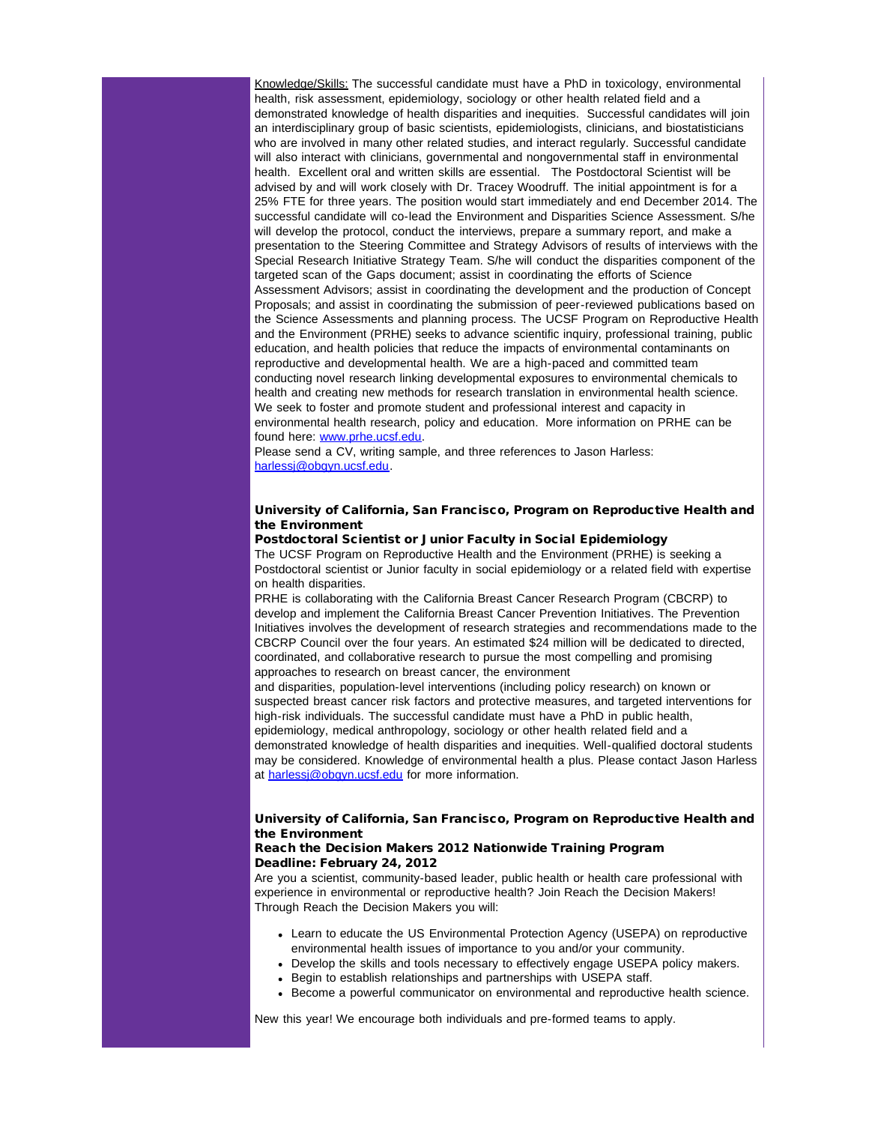Knowledge/Skills: The successful candidate must have a PhD in toxicology, environmental health, risk assessment, epidemiology, sociology or other health related field and a demonstrated knowledge of health disparities and inequities. Successful candidates will join an interdisciplinary group of basic scientists, epidemiologists, clinicians, and biostatisticians who are involved in many other related studies, and interact regularly. Successful candidate will also interact with clinicians, governmental and nongovernmental staff in environmental health. Excellent oral and written skills are essential. The Postdoctoral Scientist will be advised by and will work closely with Dr. Tracey Woodruff. The initial appointment is for a 25% FTE for three years. The position would start immediately and end December 2014. The successful candidate will co-lead the Environment and Disparities Science Assessment. S/he will develop the protocol, conduct the interviews, prepare a summary report, and make a presentation to the Steering Committee and Strategy Advisors of results of interviews with the Special Research Initiative Strategy Team. S/he will conduct the disparities component of the targeted scan of the Gaps document; assist in coordinating the efforts of Science Assessment Advisors; assist in coordinating the development and the production of Concept Proposals; and assist in coordinating the submission of peer-reviewed publications based on the Science Assessments and planning process. The UCSF Program on Reproductive Health and the Environment (PRHE) seeks to advance scientific inquiry, professional training, public education, and health policies that reduce the impacts of environmental contaminants on reproductive and developmental health. We are a high-paced and committed team conducting novel research linking developmental exposures to environmental chemicals to health and creating new methods for research translation in environmental health science. We seek to foster and promote student and professional interest and capacity in environmental health research, policy and education. More information on PRHE can be found here: [www.prhe.ucsf.edu](http://r20.rs6.net/tn.jsp?llr=5gytkqcab&et=1109261311711&s=1&e=0019XB6j_nEkoyzYOvkkgBm69gPgtB_AQwUKCVIriRv9UwhUXB6_8G6n0BptGUsYQ2YrxrN1KUh-EEd1k8oyzYSY4CpXrSR2LQNOcLNyDCJcLFB8etEUdF9PQ==).

Please send a CV, writing sample, and three references to Jason Harless: [harlessj@obgyn.ucsf.edu](mailto:harlessj@obgyn.ucsf.edu?).

## University of California, San Francisco, Program on Reproductive Health and the Environment

#### Postdoctoral Scientist or Junior Faculty in Social Epidemiology

The UCSF Program on Reproductive Health and the Environment (PRHE) is seeking a Postdoctoral scientist or Junior faculty in social epidemiology or a related field with expertise on health disparities.

PRHE is collaborating with the California Breast Cancer Research Program (CBCRP) to develop and implement the California Breast Cancer Prevention Initiatives. The Prevention Initiatives involves the development of research strategies and recommendations made to the CBCRP Council over the four years. An estimated \$24 million will be dedicated to directed, coordinated, and collaborative research to pursue the most compelling and promising approaches to research on breast cancer, the environment

and disparities, population-level interventions (including policy research) on known or suspected breast cancer risk factors and protective measures, and targeted interventions for high-risk individuals. The successful candidate must have a PhD in public health, epidemiology, medical anthropology, sociology or other health related field and a demonstrated knowledge of health disparities and inequities. Well-qualified doctoral students may be considered. Knowledge of environmental health a plus. Please contact Jason Harless at [harlessj@obgyn.ucsf.edu](mailto:harlessj@obgyn.ucsf.edu?) for more information.

# University of California, San Francisco, Program on Reproductive Health and the Environment

# Reach the Decision Makers 2012 Nationwide Training Program Deadline: February 24, 2012

Are you a scientist, community-based leader, public health or health care professional with experience in environmental or reproductive health? Join Reach the Decision Makers! Through Reach the Decision Makers you will:

- Learn to educate the US Environmental Protection Agency (USEPA) on reproductive environmental health issues of importance to you and/or your community.
- Develop the skills and tools necessary to effectively engage USEPA policy makers.
- Begin to establish relationships and partnerships with USEPA staff.
- Become a powerful communicator on environmental and reproductive health science.

New this year! We encourage both individuals and pre-formed teams to apply.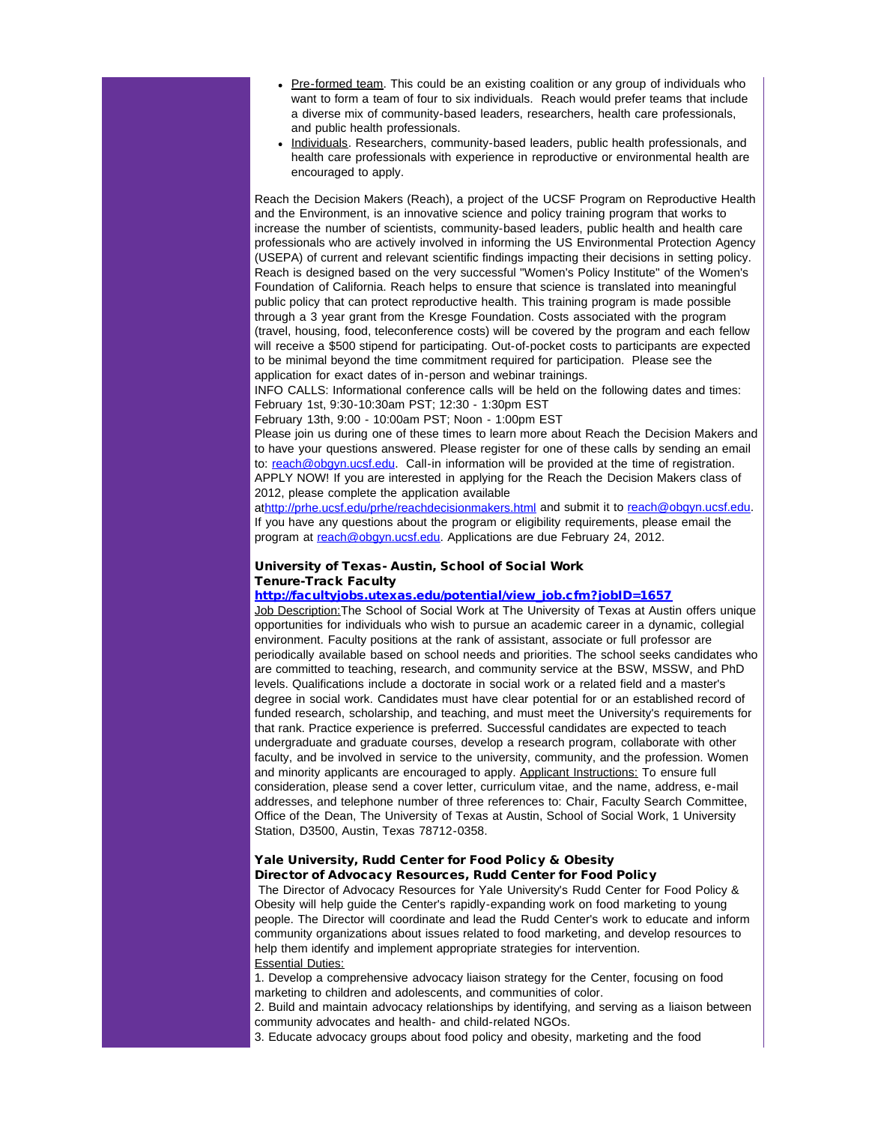- Pre-formed team. This could be an existing coalition or any group of individuals who want to form a team of four to six individuals. Reach would prefer teams that include a diverse mix of community-based leaders, researchers, health care professionals, and public health professionals.
- Individuals. Researchers, community-based leaders, public health professionals, and health care professionals with experience in reproductive or environmental health are encouraged to apply.

Reach the Decision Makers (Reach), a project of the UCSF Program on Reproductive Health and the Environment, is an innovative science and policy training program that works to increase the number of scientists, community-based leaders, public health and health care professionals who are actively involved in informing the US Environmental Protection Agency (USEPA) of current and relevant scientific findings impacting their decisions in setting policy. Reach is designed based on the very successful "Women's Policy Institute" of the Women's Foundation of California. Reach helps to ensure that science is translated into meaningful public policy that can protect reproductive health. This training program is made possible through a 3 year grant from the Kresge Foundation. Costs associated with the program (travel, housing, food, teleconference costs) will be covered by the program and each fellow will receive a \$500 stipend for participating. Out-of-pocket costs to participants are expected to be minimal beyond the time commitment required for participation. Please see the application for exact dates of in-person and webinar trainings.

INFO CALLS: Informational conference calls will be held on the following dates and times: February 1st, 9:30-10:30am PST; 12:30 - 1:30pm EST

February 13th, 9:00 - 10:00am PST; Noon - 1:00pm EST

Please join us during one of these times to learn more about Reach the Decision Makers and to have your questions answered. Please register for one of these calls by sending an email to: [reach@obgyn.ucsf.edu.](mailto:reach@obgyn.ucsf.edu?) Call-in information will be provided at the time of registration. APPLY NOW! If you are interested in applying for the Reach the Decision Makers class of 2012, please complete the application available

at[http://prhe.ucsf.edu/prhe/reachdecisionmakers.html](http://r20.rs6.net/tn.jsp?llr=5gytkqcab&et=1109261311711&s=1&e=0019XB6j_nEkozVpqrMCAYwPQMEZXs_IU4fzGlWGUSaIwHEC50QvPlT48FjUZx04GEnZmUP61tlA8MAiLRC5sOF8udvD72aN3M0qKXZ7Mlp1MMtb2JuBThAcji6yemKSiFHP_Aw6rNP-poHtsqAm7FQzg==) and submit it to [reach@obgyn.ucsf.edu.](mailto:reach@obgyn.ucsf.edu?) If you have any questions about the program or eligibility requirements, please email the program at [reach@obgyn.ucsf.edu](mailto:reach@obgyn.ucsf.edu?)</u>. Applications are due February 24, 2012.

# University of Texas- Austin, School of Social Work Tenure-Track Faculty

#### [http://facultyjobs.utexas.edu/potential/view\\_job.cfm?jobID=1657](http://r20.rs6.net/tn.jsp?llr=5gytkqcab&et=1109261311711&s=1&e=0019XB6j_nEkowTsQf099Eiqz0hS6bwV-4Q-I9MCVVzEgIMp0VbnslDDHxrFDtCrWz_CrCkHXMIptQ_t5wyXWVO15g1igAMeqRtZ92DBHnBPRzk8YRO71Ji6QAqHNiCmG2t1ZPX8bcaNFXXqzx7DAIXma-SqpYvst0ADRsuk2O8w08=)

Job Description: The School of Social Work at The University of Texas at Austin offers unique opportunities for individuals who wish to pursue an academic career in a dynamic, collegial environment. Faculty positions at the rank of assistant, associate or full professor are periodically available based on school needs and priorities. The school seeks candidates who are committed to teaching, research, and community service at the BSW, MSSW, and PhD levels. Qualifications include a doctorate in social work or a related field and a master's degree in social work. Candidates must have clear potential for or an established record of funded research, scholarship, and teaching, and must meet the University's requirements for that rank. Practice experience is preferred. Successful candidates are expected to teach undergraduate and graduate courses, develop a research program, collaborate with other faculty, and be involved in service to the university, community, and the profession. Women and minority applicants are encouraged to apply. Applicant Instructions: To ensure full consideration, please send a cover letter, curriculum vitae, and the name, address, e-mail addresses, and telephone number of three references to: Chair, Faculty Search Committee, Office of the Dean, The University of Texas at Austin, School of Social Work, 1 University Station, D3500, Austin, Texas 78712-0358.

# Yale University, Rudd Center for Food Policy & Obesity Director of Advocacy Resources, Rudd Center for Food Policy

The Director of Advocacy Resources for Yale University's Rudd Center for Food Policy & Obesity will help guide the Center's rapidly-expanding work on food marketing to young people. The Director will coordinate and lead the Rudd Center's work to educate and inform community organizations about issues related to food marketing, and develop resources to help them identify and implement appropriate strategies for intervention. Essential Duties:

1. Develop a comprehensive advocacy liaison strategy for the Center, focusing on food marketing to children and adolescents, and communities of color.

2. Build and maintain advocacy relationships by identifying, and serving as a liaison between community advocates and health- and child-related NGOs.

3. Educate advocacy groups about food policy and obesity, marketing and the food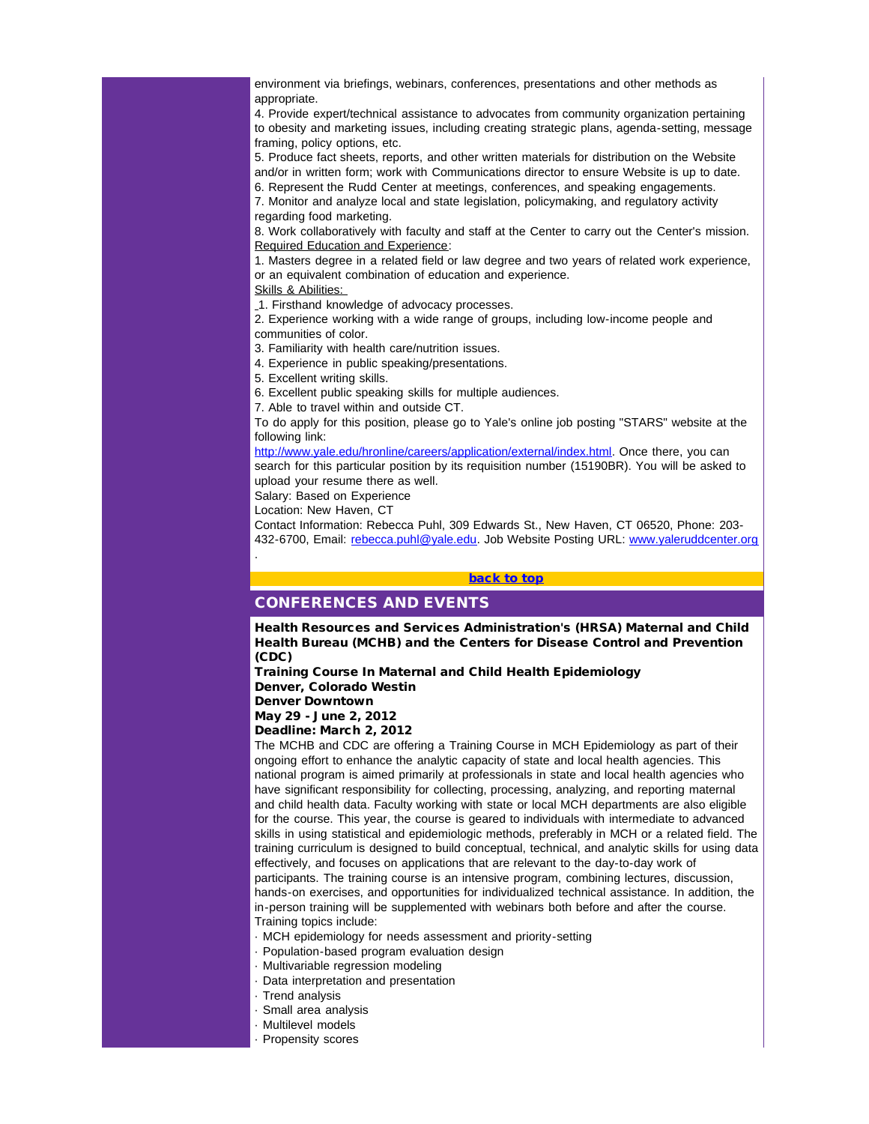environment via briefings, webinars, conferences, presentations and other methods as appropriate.

4. Provide expert/technical assistance to advocates from community organization pertaining to obesity and marketing issues, including creating strategic plans, agenda-setting, message framing, policy options, etc.

5. Produce fact sheets, reports, and other written materials for distribution on the Website and/or in written form; work with Communications director to ensure Website is up to date. 6. Represent the Rudd Center at meetings, conferences, and speaking engagements.

7. Monitor and analyze local and state legislation, policymaking, and regulatory activity regarding food marketing.

8. Work collaboratively with faculty and staff at the Center to carry out the Center's mission. Required Education and Experience:

1. Masters degree in a related field or law degree and two years of related work experience, or an equivalent combination of education and experience.

Skills & Abilities:

1. Firsthand knowledge of advocacy processes.

2. Experience working with a wide range of groups, including low-income people and communities of color.

3. Familiarity with health care/nutrition issues.

4. Experience in public speaking/presentations.

5. Excellent writing skills.

<span id="page-16-0"></span>6. Excellent public speaking skills for multiple audiences.

7. Able to travel within and outside CT.

To do apply for this position, please go to Yale's online job posting "STARS" website at the following link:

[http://www.yale.edu/hronline/careers/application/external/index.html](http://r20.rs6.net/tn.jsp?llr=5gytkqcab&et=1109261311711&s=1&e=0019XB6j_nEkoyZ3BluzzBmVqrSlHJ-ldTkpUyr6ZoJ9B11H9OQF4tzdTa1IQebRwq9aymg2DtCfq5XYal7jeliknp5PFB4TNzz-pjYfI4h23ddk3jCIQR56Pp6uz-ooMa22uGNvTzVxVB-spuPuanVm3JcbRBW4X02kStR_auoAdq55bw_lyzVgg==)</u>. Once there, you can search for this particular position by its requisition number (15190BR). You will be asked to upload your resume there as well.

Salary: Based on Experience

Location: New Haven, CT

.

Contact Information: Rebecca Puhl, 309 Edwards St., New Haven, CT 06520, Phone: 203 432-6700, Email: [rebecca.puhl@yale.edu](mailto:rebecca.puhl@yale.edu). Job Website Posting URL: [www.yaleruddcenter.org](http://r20.rs6.net/tn.jsp?llr=5gytkqcab&et=1109261311711&s=1&e=0019XB6j_nEkoxeT4IR2mv5bhBYgdcZH9IZy_WSpcltJLJI7tG-tD0dSgvGPi70VxFiEHknpphYuEYpkhF9P1kT-F9Ir1asoKc1b5TSOiARjopFxBkuyF5lhw==)

#### [back to top](#page-0-1)

# CONFERENCES AND EVENTS

Health Resources and Services Administration's (HRSA) Maternal and Child Health Bureau (MCHB) and the Centers for Disease Control and Prevention (CDC)

Training Course In Maternal and Child Health Epidemiology Denver, Colorado Westin

Denver Downtown

May 29 - June 2, 2012

Deadline: March 2, 2012

The MCHB and CDC are offering a Training Course in MCH Epidemiology as part of their ongoing effort to enhance the analytic capacity of state and local health agencies. This national program is aimed primarily at professionals in state and local health agencies who have significant responsibility for collecting, processing, analyzing, and reporting maternal and child health data. Faculty working with state or local MCH departments are also eligible for the course. This year, the course is geared to individuals with intermediate to advanced skills in using statistical and epidemiologic methods, preferably in MCH or a related field. The training curriculum is designed to build conceptual, technical, and analytic skills for using data effectively, and focuses on applications that are relevant to the day-to-day work of participants. The training course is an intensive program, combining lectures, discussion, hands-on exercises, and opportunities for individualized technical assistance. In addition, the in-person training will be supplemented with webinars both before and after the course. Training topics include:

- · MCH epidemiology for needs assessment and priority-setting
- · Population-based program evaluation design
- · Multivariable regression modeling
- · Data interpretation and presentation
- · Trend analysis
- · Small area analysis
- · Multilevel models
- · Propensity scores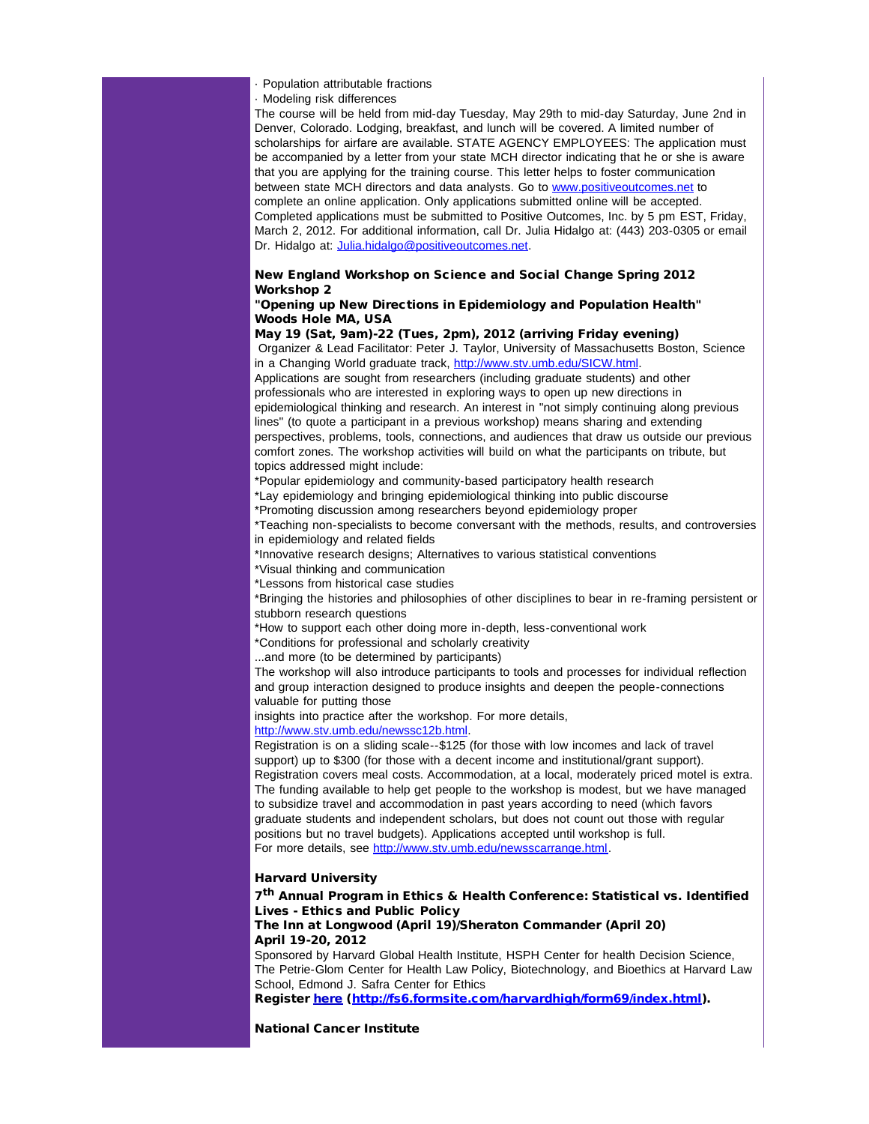- · Population attributable fractions
- · Modeling risk differences

The course will be held from mid-day Tuesday, May 29th to mid-day Saturday, June 2nd in Denver, Colorado. Lodging, breakfast, and lunch will be covered. A limited number of scholarships for airfare are available. STATE AGENCY EMPLOYEES: The application must be accompanied by a letter from your state MCH director indicating that he or she is aware that you are applying for the training course. This letter helps to foster communication between state MCH directors and data analysts. Go to [www.positiveoutcomes.net](http://r20.rs6.net/tn.jsp?llr=5gytkqcab&et=1109261311711&s=1&e=0019XB6j_nEkoxrroVcb3qCdpfUUFtCliZaL8M0949o9gwr4fG6IShIRgx1x52upaJ6zP2sIsIstKp5qLBzUmyxbGSOpafazA2Tv1-IhtFFzfk0LhoTVMpZsA==) to complete an online application. Only applications submitted online will be accepted. Completed applications must be submitted to Positive Outcomes, Inc. by 5 pm EST, Friday, March 2, 2012. For additional information, call Dr. Julia Hidalgo at: (443) 203-0305 or email Dr. Hidalgo at: [Julia.hidalgo@positiveoutcomes.net.](mailto:Julia.hidalgo@positiveoutcomes.net)

# New England Workshop on Science and Social Change Spring 2012 Workshop 2

# "Opening up New Directions in Epidemiology and Population Health" Woods Hole MA, USA

May 19 (Sat, 9am)-22 (Tues, 2pm), 2012 (arriving Friday evening) Organizer & Lead Facilitator: Peter J. Taylor, University of Massachusetts Boston, Science

in a Changing World graduate track, [http://www.stv.umb.edu/SICW.html](http://r20.rs6.net/tn.jsp?llr=5gytkqcab&et=1109261311711&s=1&e=0019XB6j_nEkoyKZal6w26PXTS33Ui5DLINOkftzotoIdr2ehe3Z2tEkNwUPLag56ytlkOGUvELymfnF9TBnXHSMvpFmHwNb7EFNHSRzkg6OGM3Yd4MSObw5w==).

Applications are sought from researchers (including graduate students) and other professionals who are interested in exploring ways to open up new directions in epidemiological thinking and research. An interest in "not simply continuing along previous lines" (to quote a participant in a previous workshop) means sharing and extending perspectives, problems, tools, connections, and audiences that draw us outside our previous comfort zones. The workshop activities will build on what the participants on tribute, but topics addressed might include:

\*Popular epidemiology and community-based participatory health research

\*Lay epidemiology and bringing epidemiological thinking into public discourse

\*Promoting discussion among researchers beyond epidemiology proper

\*Teaching non-specialists to become conversant with the methods, results, and controversies in epidemiology and related fields

\*Innovative research designs; Alternatives to various statistical conventions

\*Visual thinking and communication

\*Lessons from historical case studies

\*Bringing the histories and philosophies of other disciplines to bear in re-framing persistent or stubborn research questions

\*How to support each other doing more in-depth, less-conventional work

\*Conditions for professional and scholarly creativity

...and more (to be determined by participants)

The workshop will also introduce participants to tools and processes for individual reflection and group interaction designed to produce insights and deepen the people-connections valuable for putting those

insights into practice after the workshop. For more details,

[http://www.stv.umb.edu/newssc12b.html](http://r20.rs6.net/tn.jsp?llr=5gytkqcab&et=1109261311711&s=1&e=0019XB6j_nEkoxC30NGIRgoPKiJT_AKBHqGN3iyCMCklORQuXr3ehY8OUtC9JCpR0R1EpVllKkIX4MFRlgwX2l-ODgms6iqnrQW7ul_Yxij9WUObinFZ9zGD-E5p8cVgrPM).

Registration is on a sliding scale--\$125 (for those with low incomes and lack of travel support) up to \$300 (for those with a decent income and institutional/grant support). Registration covers meal costs. Accommodation, at a local, moderately priced motel is extra. The funding available to help get people to the workshop is modest, but we have managed to subsidize travel and accommodation in past years according to need (which favors graduate students and independent scholars, but does not count out those with regular positions but no travel budgets). Applications accepted until workshop is full. For more details, see [http://www.stv.umb.edu/newsscarrange.html.](http://r20.rs6.net/tn.jsp?llr=5gytkqcab&et=1109261311711&s=1&e=0019XB6j_nEkozE1sEsQ1kyQPKGrHQSb4ynhldiE2SyWyKRB7utinZH303xjBVvtxd8H8NKPnpIKEmJulpQwXErMdNcFNxMp7tGR9PLcwqYopl55gbGcvJRgXbhnfS5_2dm1fZi41oKgz8=)

# Harvard University

7<sup>th</sup> Annual Program in Ethics & Health Conference: Statistical vs. Identified Lives - Ethics and Public Policy

# The Inn at Longwood (April 19)/Sheraton Commander (April 20) April 19-20, 2012

Sponsored by Harvard Global Health Institute, HSPH Center for health Decision Science, The Petrie-Glom Center for Health Law Policy, Biotechnology, and Bioethics at Harvard Law School, Edmond J. Safra Center for Ethics

Register [here](http://r20.rs6.net/tn.jsp?llr=yrwcnrcab&et=1109124099737&s=14400&e=001lSxjpZvbqNr8yZzaLPTtks3ZHmwjF8CmeafSRyhxNDgextCtevVACF4YbJ0epQxZxjWKGJGaOz_LwhsJ4HkANKBvmcSQD0K5QX7PktOqmezjjmexOxzNQJczJ649vsCIMZXOhL5W40DozwPBAEMkNDvLXs6DtvcY) ([http://fs6.formsite.com/harvardhigh/form69/index.html\)](http://r20.rs6.net/tn.jsp?llr=5gytkqcab&t=4wxascjab.0.jqpjscjab.5gytkqcab.1&ts=S0729&p=http%3A%2F%2Ffs6.formsite.com%2Fharvardhigh%2Fform69%2Findex.html).

National Cancer Institute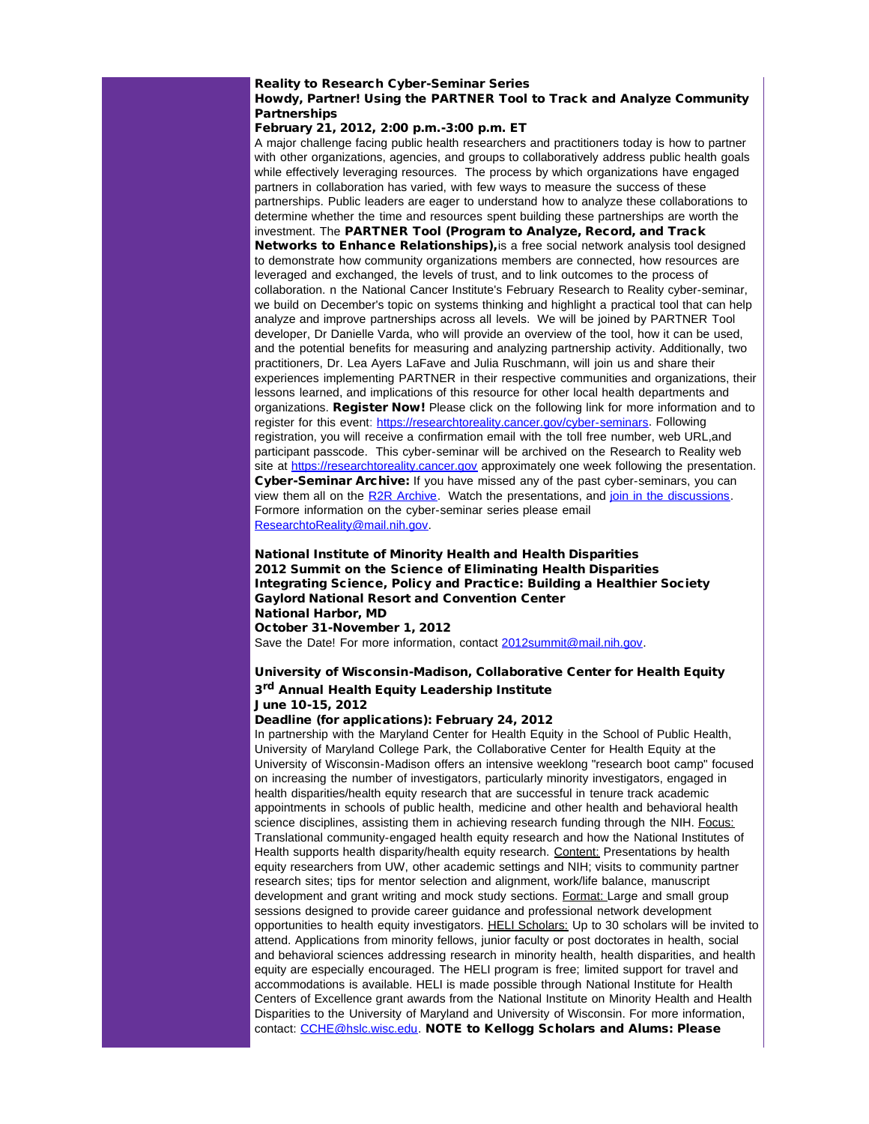## Reality to Research Cyber-Seminar Series Howdy, Partner! Using the PARTNER Tool to Track and Analyze Community **Partnerships**

# February 21, 2012, 2:00 p.m.-3:00 p.m. ET

A major challenge facing public health researchers and practitioners today is how to partner with other organizations, agencies, and groups to collaboratively address public health goals while effectively leveraging resources. The process by which organizations have engaged partners in collaboration has varied, with few ways to measure the success of these partnerships. Public leaders are eager to understand how to analyze these collaborations to determine whether the time and resources spent building these partnerships are worth the investment. The PARTNER Tool (Program to Analyze, Record, and Track Networks to Enhance Relationships), is a free social network analysis tool designed to demonstrate how community organizations members are connected, how resources are leveraged and exchanged, the levels of trust, and to link outcomes to the process of collaboration. n the National Cancer Institute's February Research to Reality cyber-seminar, we build on December's topic on systems thinking and highlight a practical tool that can help analyze and improve partnerships across all levels. We will be joined by PARTNER Tool developer, Dr Danielle Varda, who will provide an overview of the tool, how it can be used, and the potential benefits for measuring and analyzing partnership activity. Additionally, two practitioners, Dr. Lea Ayers LaFave and Julia Ruschmann, will join us and share their experiences implementing PARTNER in their respective communities and organizations, their lessons learned, and implications of this resource for other local health departments and organizations. Register Now! Please click on the following link for more information and to register for this event: [https://researchtoreality.cancer.gov/cyber-seminars.](http://r20.rs6.net/tn.jsp?llr=5gytkqcab&t=4wxascjab.0.lqpjscjab.5gytkqcab.1&ts=S0729&p=https%3A%2F%2Fresearchtoreality.cancer.gov%2Fcyber-seminars) Following registration, you will receive a confirmation email with the toll free number, web URL,and participant passcode. This cyber-seminar will be archived on the Research to Reality web site at [https://researchtoreality.cancer.gov](http://r20.rs6.net/tn.jsp?llr=5gytkqcab&t=4wxascjab.0.mqpjscjab.5gytkqcab.1&ts=S0729&p=https%3A%2F%2Fresearchtoreality.cancer.gov%2F) approximately one week following the presentation. Cyber-Seminar Archive: If you have missed any of the past cyber-seminars, you can view them all on the [R2R Archive.](http://r20.rs6.net/tn.jsp?llr=5gytkqcab&t=4wxascjab.0.nqpjscjab.5gytkqcab.1&ts=S0729&p=https%3A%2F%2Fresearchtoreality.cancer.gov%2Fcyber-seminars%2Farchive) Watch the presentations, and [join in the discussions.](http://r20.rs6.net/tn.jsp?llr=5gytkqcab&t=4wxascjab.0.oqpjscjab.5gytkqcab.1&ts=S0729&p=https%3A%2F%2Fresearchtoreality.cancer.gov%2Fdiscussions) Formore information on the cyber-seminar series please email [ResearchtoReality@mail.nih.gov](mailto:ResearchtoReality@mail.nih.gov).

National Institute of Minority Health and Health Disparities 2012 Summit on the Science of Eliminating Health Disparities Integrating Science, Policy and Practice: Building a Healthier Society Gaylord National Resort and Convention Center National Harbor, MD October 31-November 1, 2012 Save the Date! For more information, contact [2012summit@mail.nih.gov.](mailto:2012summit@mail.nih.gov)

# University of Wisconsin-Madison, Collaborative Center for Health Equity

# 3<sup>rd</sup> Annual Health Equity Leadership Institute

June 10-15, 2012

# Deadline (for applications): February 24, 2012

In partnership with the Maryland Center for Health Equity in the School of Public Health, University of Maryland College Park, the Collaborative Center for Health Equity at the University of Wisconsin-Madison offers an intensive weeklong "research boot camp" focused on increasing the number of investigators, particularly minority investigators, engaged in health disparities/health equity research that are successful in tenure track academic appointments in schools of public health, medicine and other health and behavioral health science disciplines, assisting them in achieving research funding through the NIH. Focus: Translational community-engaged health equity research and how the National Institutes of Health supports health disparity/health equity research. Content: Presentations by health equity researchers from UW, other academic settings and NIH; visits to community partner research sites; tips for mentor selection and alignment, work/life balance, manuscript development and grant writing and mock study sections. Format: Large and small group sessions designed to provide career guidance and professional network development opportunities to health equity investigators. HELI Scholars: Up to 30 scholars will be invited to attend. Applications from minority fellows, junior faculty or post doctorates in health, social and behavioral sciences addressing research in minority health, health disparities, and health equity are especially encouraged. The HELI program is free; limited support for travel and accommodations is available. HELI is made possible through National Institute for Health Centers of Excellence grant awards from the National Institute on Minority Health and Health Disparities to the University of Maryland and University of Wisconsin. For more information, contact: [CCHE@hslc.wisc.edu.](mailto:CCHE@hslc.wisc.edu) NOTE to Kellogg Scholars and Alums: Please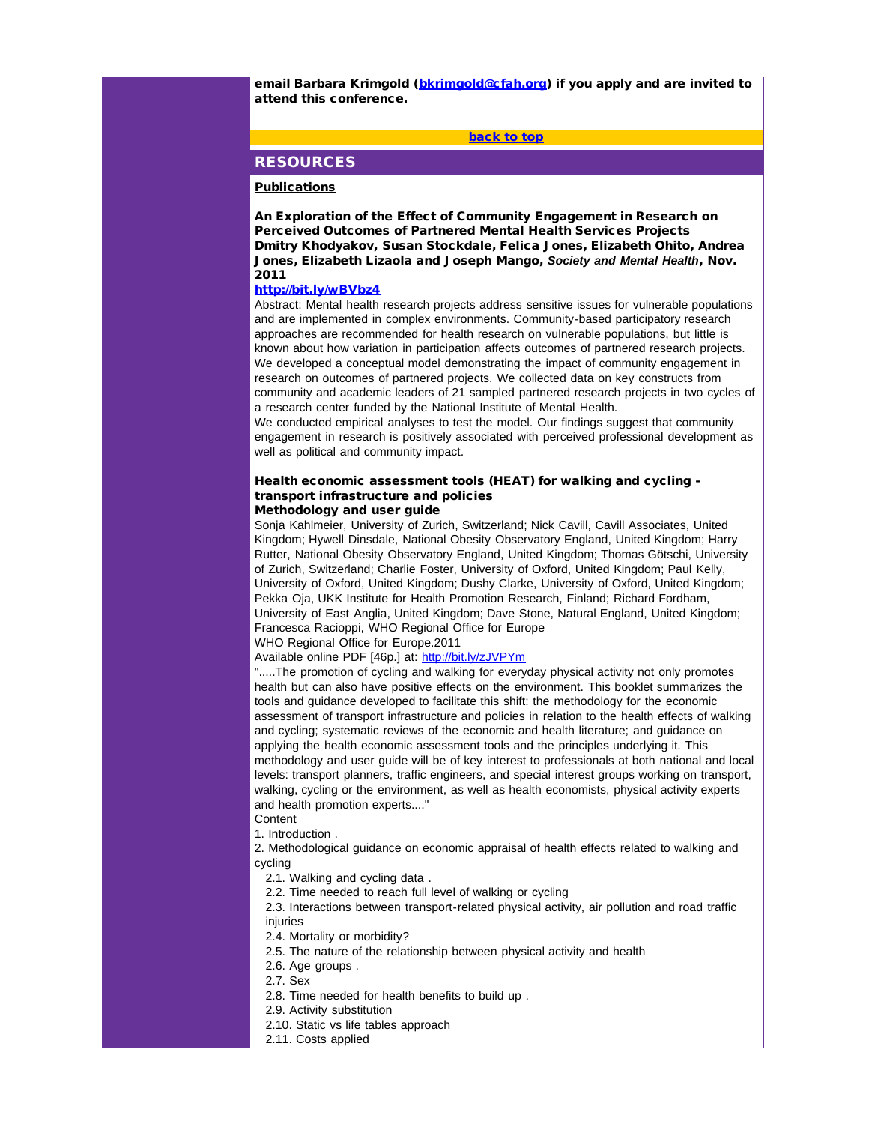<span id="page-19-0"></span>email Barbara Krimgold ([bkrimgold@cfah.org](mailto:bkrimgold@cfah.org)) if you apply and are invited to attend this conference.

[back to top](#page-0-1)

# RESOURCES

### **Publications**

An Exploration of the Effect of Community Engagement in Research on Perceived Outcomes of Partnered Mental Health Services Projects Dmitry Khodyakov, Susan Stockdale, Felica Jones, Elizabeth Ohito, Andrea Jones, Elizabeth Lizaola and Joseph Mango, *Society and Mental Health*, Nov. 2011

#### [http://bit.ly/wBVbz4](http://r20.rs6.net/tn.jsp?llr=5gytkqcab&t=4wxascjab.0.pqpjscjab.5gytkqcab.1&ts=S0729&p=http%3A%2F%2Fbit.ly%2FwBVbz4)

Abstract: Mental health research projects address sensitive issues for vulnerable populations and are implemented in complex environments. Community-based participatory research approaches are recommended for health research on vulnerable populations, but little is known about how variation in participation affects outcomes of partnered research projects. We developed a conceptual model demonstrating the impact of community engagement in research on outcomes of partnered projects. We collected data on key constructs from community and academic leaders of 21 sampled partnered research projects in two cycles of a research center funded by the National Institute of Mental Health.

We conducted empirical analyses to test the model. Our findings suggest that community engagement in research is positively associated with perceived professional development as well as political and community impact.

# Health economic assessment tools (HEAT) for walking and cycling transport infrastructure and policies

#### Methodology and user guide

Sonja Kahlmeier, University of Zurich, Switzerland; Nick Cavill, Cavill Associates, United Kingdom; Hywell Dinsdale, National Obesity Observatory England, United Kingdom; Harry Rutter, National Obesity Observatory England, United Kingdom; Thomas Götschi, University of Zurich, Switzerland; Charlie Foster, University of Oxford, United Kingdom; Paul Kelly, University of Oxford, United Kingdom; Dushy Clarke, University of Oxford, United Kingdom; Pekka Oja, UKK Institute for Health Promotion Research, Finland; Richard Fordham, University of East Anglia, United Kingdom; Dave Stone, Natural England, United Kingdom; Francesca Racioppi, WHO Regional Office for Europe

WHO Regional Office for Europe.2011

Available online PDF [46p.] at: [http://bit.ly/zJVPYm](http://r20.rs6.net/tn.jsp?llr=5gytkqcab&t=4wxascjab.0.qqpjscjab.5gytkqcab.1&ts=S0729&p=http%3A%2F%2Fbit.ly%2FzJVPYm)

".....The promotion of cycling and walking for everyday physical activity not only promotes health but can also have positive effects on the environment. This booklet summarizes the tools and guidance developed to facilitate this shift: the methodology for the economic assessment of transport infrastructure and policies in relation to the health effects of walking and cycling; systematic reviews of the economic and health literature; and guidance on applying the health economic assessment tools and the principles underlying it. This methodology and user guide will be of key interest to professionals at both national and local levels: transport planners, traffic engineers, and special interest groups working on transport, walking, cycling or the environment, as well as health economists, physical activity experts and health promotion experts...."

**Content** 

1. Introduction .

2. Methodological guidance on economic appraisal of health effects related to walking and cycling

2.1. Walking and cycling data .

2.2. Time needed to reach full level of walking or cycling

2.3. Interactions between transport-related physical activity, air pollution and road traffic injuries

2.4. Mortality or morbidity?

- 2.5. The nature of the relationship between physical activity and health
- 2.6. Age groups .

2.7. Sex

- 2.8. Time needed for health benefits to build up .
- 2.9. Activity substitution
- 2.10. Static vs life tables approach
- 2.11. Costs applied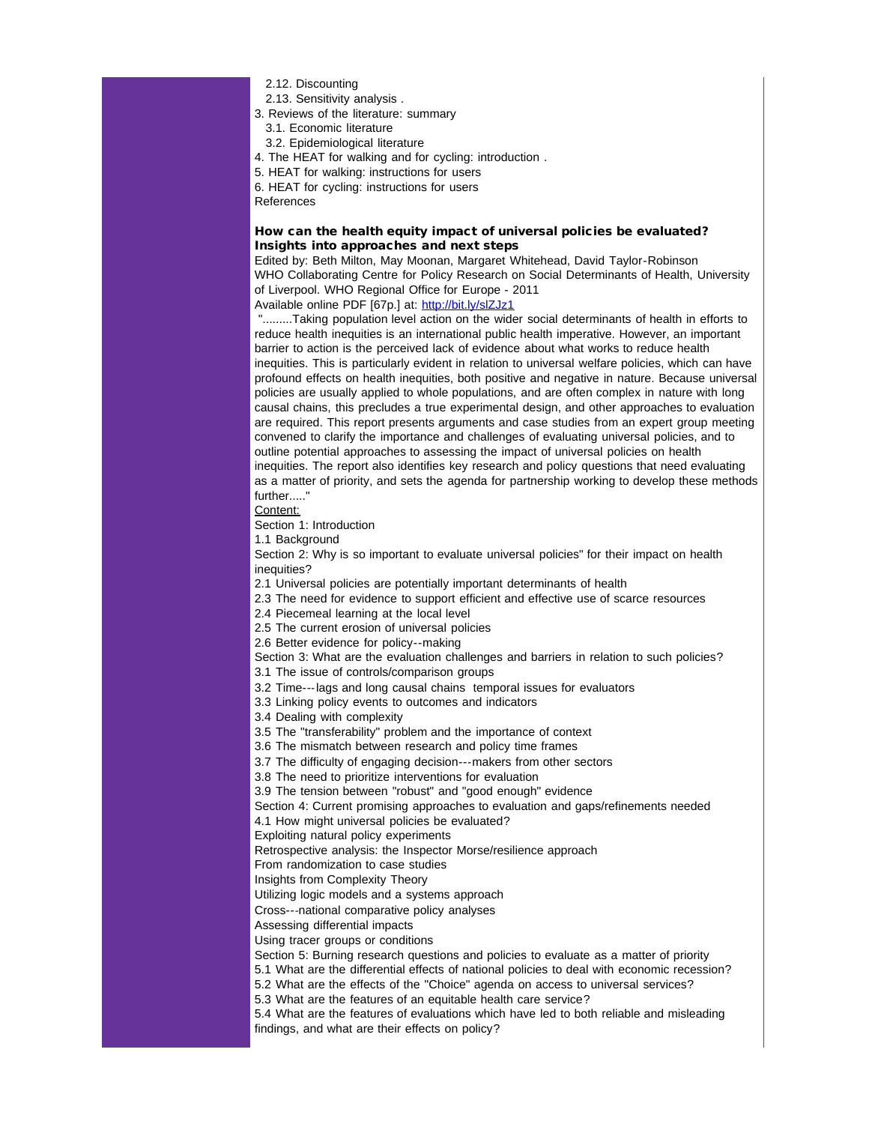- 2.12. Discounting
- 2.13. Sensitivity analysis .
- 3. Reviews of the literature: summary
	- 3.1. Economic literature
	- 3.2. Epidemiological literature
- 4. The HEAT for walking and for cycling: introduction .
- 5. HEAT for walking: instructions for users
- 6. HEAT for cycling: instructions for users
- References

# How can the health equity impact of universal policies be evaluated? Insights into approaches and next steps

Edited by: Beth Milton, May Moonan, Margaret Whitehead, David Taylor-Robinson WHO Collaborating Centre for Policy Research on Social Determinants of Health, University of Liverpool. WHO Regional Office for Europe - 2011

Available online PDF [67p.] at: [http://bit.ly/slZJz1](http://r20.rs6.net/tn.jsp?llr=5gytkqcab&t=4wxascjab.0.rqpjscjab.5gytkqcab.1&ts=S0729&p=http%3A%2F%2Ft.co%2F6rSlOLYw)

".........Taking population level action on the wider social determinants of health in efforts to reduce health inequities is an international public health imperative. However, an important barrier to action is the perceived lack of evidence about what works to reduce health inequities. This is particularly evident in relation to universal welfare policies, which can have profound effects on health inequities, both positive and negative in nature. Because universal policies are usually applied to whole populations, and are often complex in nature with long causal chains, this precludes a true experimental design, and other approaches to evaluation are required. This report presents arguments and case studies from an expert group meeting convened to clarify the importance and challenges of evaluating universal policies, and to outline potential approaches to assessing the impact of universal policies on health inequities. The report also identifies key research and policy questions that need evaluating as a matter of priority, and sets the agenda for partnership working to develop these methods

further....." Content:

Section 1: Introduction

1.1 Background

Section 2: Why is so important to evaluate universal policies" for their impact on health inequities?

2.1 Universal policies are potentially important determinants of health

- 2.3 The need for evidence to support efficient and effective use of scarce resources
- 2.4 Piecemeal learning at the local level

2.5 The current erosion of universal policies

2.6 Better evidence for policy--making

Section 3: What are the evaluation challenges and barriers in relation to such policies?

3.1 The issue of controls/comparison groups

3.2 Time---lags and long causal chains temporal issues for evaluators

3.3 Linking policy events to outcomes and indicators

3.4 Dealing with complexity

3.5 The "transferability" problem and the importance of context

3.6 The mismatch between research and policy time frames

3.7 The difficulty of engaging decision---makers from other sectors

3.8 The need to prioritize interventions for evaluation

3.9 The tension between "robust" and "good enough" evidence

Section 4: Current promising approaches to evaluation and gaps/refinements needed 4.1 How might universal policies be evaluated?

Exploiting natural policy experiments

Retrospective analysis: the Inspector Morse/resilience approach

From randomization to case studies

Insights from Complexity Theory

Utilizing logic models and a systems approach

Cross---national comparative policy analyses

Assessing differential impacts

Using tracer groups or conditions

Section 5: Burning research questions and policies to evaluate as a matter of priority

5.1 What are the differential effects of national policies to deal with economic recession?

5.2 What are the effects of the "Choice" agenda on access to universal services?

5.3 What are the features of an equitable health care service?

5.4 What are the features of evaluations which have led to both reliable and misleading findings, and what are their effects on policy?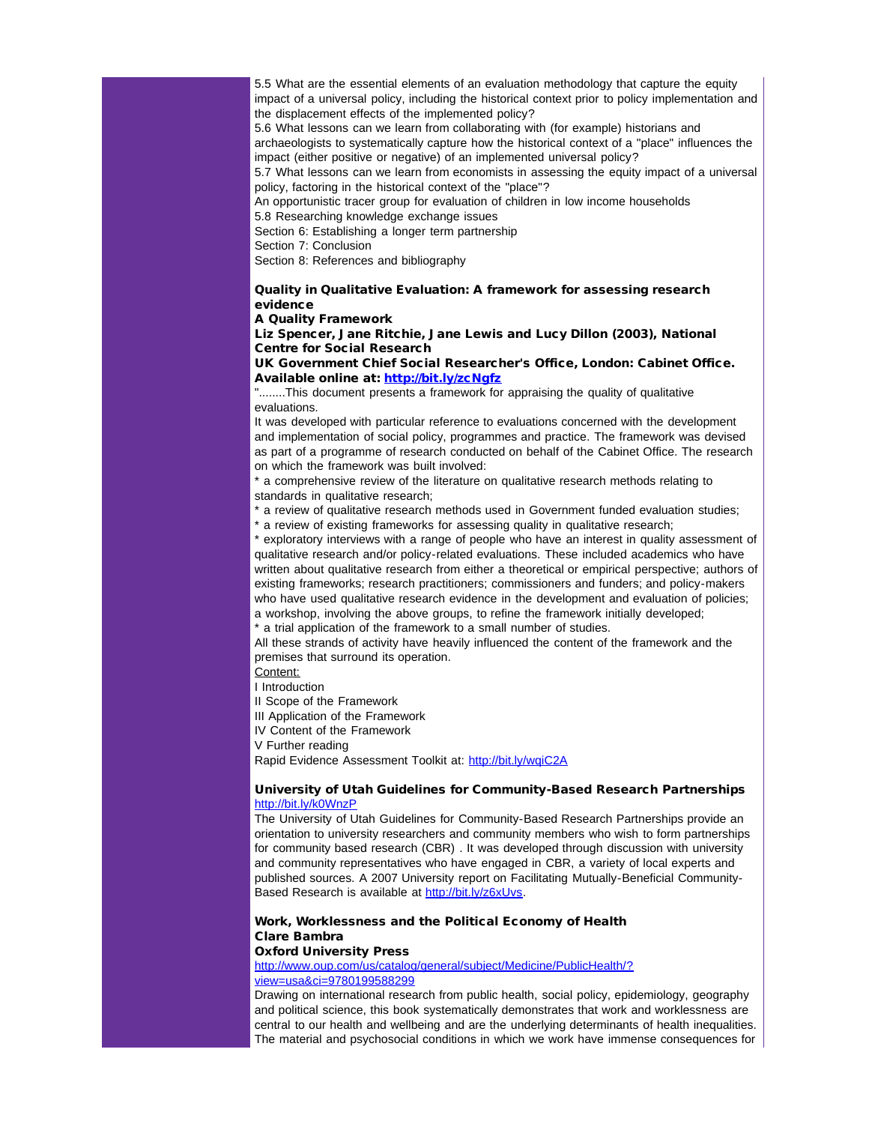5.5 What are the essential elements of an evaluation methodology that capture the equity impact of a universal policy, including the historical context prior to policy implementation and the displacement effects of the implemented policy?

5.6 What lessons can we learn from collaborating with (for example) historians and archaeologists to systematically capture how the historical context of a "place" influences the impact (either positive or negative) of an implemented universal policy?

5.7 What lessons can we learn from economists in assessing the equity impact of a universal policy, factoring in the historical context of the "place"?

An opportunistic tracer group for evaluation of children in low income households 5.8 Researching knowledge exchange issues

Section 6: Establishing a longer term partnership

Section 7: Conclusion

Section 8: References and bibliography

# Quality in Qualitative Evaluation: A framework for assessing research evidence

#### A Quality Framework

Liz Spencer, Jane Ritchie, Jane Lewis and Lucy Dillon (2003), National Centre for Social Research

UK Government Chief Social Researcher's Office, London: Cabinet Office. Available online at: [http://bit.ly/zcNgfz](http://r20.rs6.net/tn.jsp?llr=5gytkqcab&t=4wxascjab.0.sqpjscjab.5gytkqcab.1&ts=S0729&p=http%3A%2F%2Fbit.ly%2FzcNgfz)

"........This document presents a framework for appraising the quality of qualitative evaluations.

It was developed with particular reference to evaluations concerned with the development and implementation of social policy, programmes and practice. The framework was devised as part of a programme of research conducted on behalf of the Cabinet Office. The research on which the framework was built involved:

\* a comprehensive review of the literature on qualitative research methods relating to standards in qualitative research;

\* a review of qualitative research methods used in Government funded evaluation studies;

\* a review of existing frameworks for assessing quality in qualitative research;

\* exploratory interviews with a range of people who have an interest in quality assessment of qualitative research and/or policy-related evaluations. These included academics who have written about qualitative research from either a theoretical or empirical perspective; authors of existing frameworks; research practitioners; commissioners and funders; and policy-makers who have used qualitative research evidence in the development and evaluation of policies; a workshop, involving the above groups, to refine the framework initially developed;

\* a trial application of the framework to a small number of studies.

All these strands of activity have heavily influenced the content of the framework and the premises that surround its operation.

Content:

I Introduction

II Scope of the Framework

III Application of the Framework

IV Content of the Framework

V Further reading

Rapid Evidence Assessment Toolkit at: [http://bit.ly/wqiC2A](http://r20.rs6.net/tn.jsp?llr=5gytkqcab&t=4wxascjab.0.tqpjscjab.5gytkqcab.1&ts=S0729&p=http%3A%2F%2Fbit.ly%2FwqiC2A)

### University of Utah Guidelines for Community-Based Research Partnerships [http://bit.ly/k0WnzP](http://r20.rs6.net/tn.jsp?llr=5gytkqcab&t=4wxascjab.0.uqpjscjab.5gytkqcab.1&ts=S0729&p=http%3A%2F%2Fbit.ly%2Fk0WnzP)

The University of Utah Guidelines for Community-Based Research Partnerships provide an orientation to university researchers and community members who wish to form partnerships for community based research (CBR) . It was developed through discussion with university and community representatives who have engaged in CBR, a variety of local experts and published sources. A 2007 University report on Facilitating Mutually-Beneficial Community.<br>Based Research is available at [http://bit.ly/z6xUvs.](http://r20.rs6.net/tn.jsp?llr=5gytkqcab&t=4wxascjab.0.vqpjscjab.5gytkqcab.1&ts=S0729&p=http%3A%2F%2Fbit.ly%2Fz6xUvs)

#### Work, Worklessness and the Political Economy of Health Clare Bambra Oxford University Press

[http://www.oup.com/us/catalog/general/subject/Medicine/PublicHealth/?](http://r20.rs6.net/tn.jsp?llr=5gytkqcab&t=4wxascjab.0.wqpjscjab.5gytkqcab.1&ts=S0729&p=http%3A%2F%2Fwww.oup.com%2Fus%2Fcatalog%2Fgeneral%2Fsubject%2FMedicine%2FPublicHealth%2F%3Fview%3Dusa%26ci%3D9780199588299) [view=usa&ci=9780199588299](http://r20.rs6.net/tn.jsp?llr=5gytkqcab&t=4wxascjab.0.wqpjscjab.5gytkqcab.1&ts=S0729&p=http%3A%2F%2Fwww.oup.com%2Fus%2Fcatalog%2Fgeneral%2Fsubject%2FMedicine%2FPublicHealth%2F%3Fview%3Dusa%26ci%3D9780199588299)

Drawing on international research from public health, social policy, epidemiology, geography and political science, this book systematically demonstrates that work and worklessness are central to our health and wellbeing and are the underlying determinants of health inequalities. The material and psychosocial conditions in which we work have immense consequences for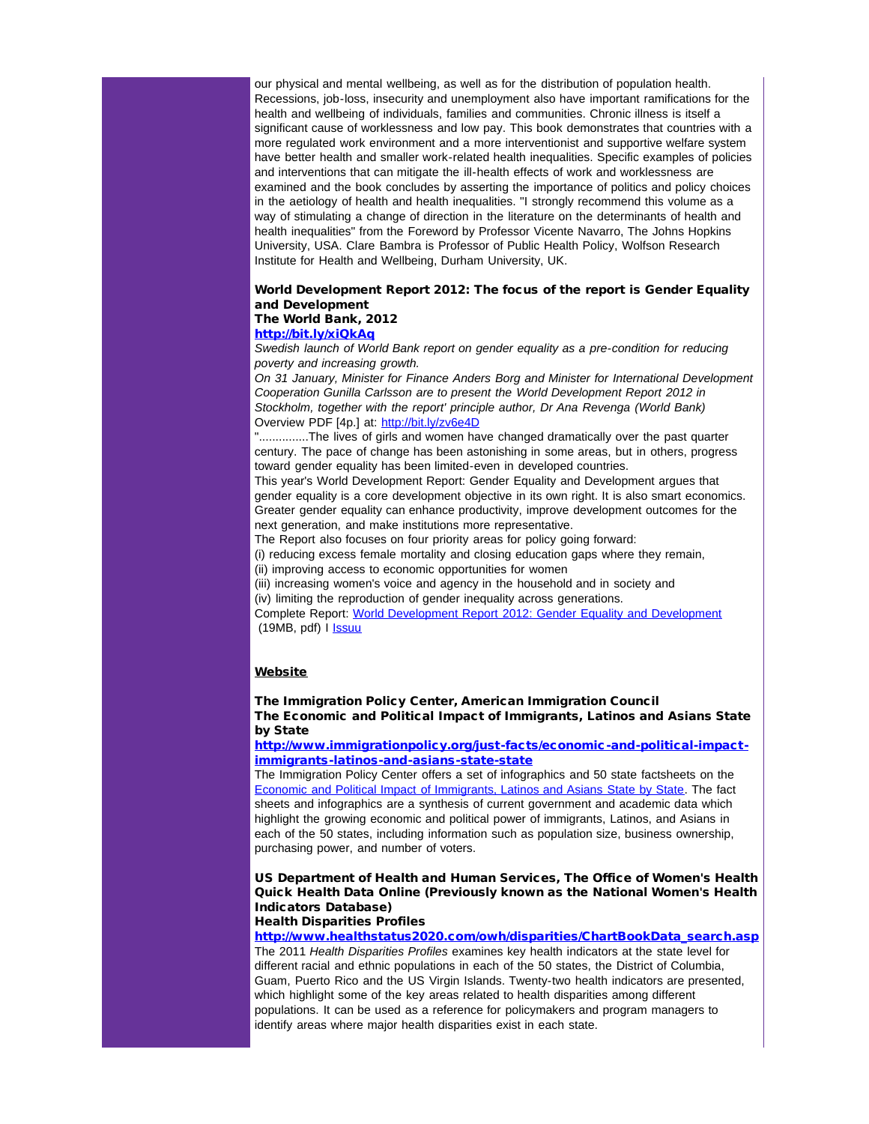our physical and mental wellbeing, as well as for the distribution of population health. Recessions, job-loss, insecurity and unemployment also have important ramifications for the health and wellbeing of individuals, families and communities. Chronic illness is itself a significant cause of worklessness and low pay. This book demonstrates that countries with a more regulated work environment and a more interventionist and supportive welfare system have better health and smaller work-related health inequalities. Specific examples of policies and interventions that can mitigate the ill-health effects of work and worklessness are examined and the book concludes by asserting the importance of politics and policy choices in the aetiology of health and health inequalities. "I strongly recommend this volume as a way of stimulating a change of direction in the literature on the determinants of health and health inequalities" from the Foreword by Professor Vicente Navarro, The Johns Hopkins University, USA. Clare Bambra is Professor of Public Health Policy, Wolfson Research Institute for Health and Wellbeing, Durham University, UK.

#### World Development Report 2012: The focus of the report is Gender Equality and Development The World Bank, 2012

# [http://bit.ly/xiQkAq](http://r20.rs6.net/tn.jsp?llr=5gytkqcab&t=4wxascjab.0.xqpjscjab.5gytkqcab.1&ts=S0729&p=http%3A%2F%2Ft.co%2F4NGvd7tF)

*Swedish launch of World Bank report on gender equality as a pre-condition for reducing poverty and increasing growth.*

*On 31 January, Minister for Finance Anders Borg and Minister for International Development Cooperation Gunilla Carlsson are to present the World Development Report 2012 in Stockholm, together with the report' principle author, Dr Ana Revenga (World Bank)* Overview PDF [4p.] at: [http://bit.ly/zv6e4D](http://r20.rs6.net/tn.jsp?llr=5gytkqcab&t=4wxascjab.0.yqpjscjab.5gytkqcab.1&ts=S0729&p=http%3A%2F%2Fbit.ly%2Fzv6e4D)

"...............The lives of girls and women have changed dramatically over the past quarter century. The pace of change has been astonishing in some areas, but in others, progress toward gender equality has been limited-even in developed countries.

This year's World Development Report: Gender Equality and Development argues that gender equality is a core development objective in its own right. It is also smart economics. Greater gender equality can enhance productivity, improve development outcomes for the next generation, and make institutions more representative.

The Report also focuses on four priority areas for policy going forward:

(i) reducing excess female mortality and closing education gaps where they remain,

(ii) improving access to economic opportunities for women

(iii) increasing women's voice and agency in the household and in society and

(iv) limiting the reproduction of gender inequality across generations.

Complete Report: [World Development Report 2012: Gender Equality and Development](http://r20.rs6.net/tn.jsp?llr=5gytkqcab&t=4wxascjab.0.zqpjscjab.5gytkqcab.1&ts=S0729&p=http%3A%2F%2Fecon.worldbank.org%2FWBSITE%2FEXTERNAL%2FEXTDEC%2FEXTRESEARCH%2FEXTWDRS%2FEXTWDR2012%2F0%2C%2CcontentMDK%3A23004468%7EpagePK%3A64167689%7EpiPK%3A64167673%7EtheSitePK%3A7778063%2C00.html)  $(19MB, pdf)$  I **Issuu** 

#### Website

# The Immigration Policy Center, American Immigration Council The Economic and Political Impact of Immigrants, Latinos and Asians State by State

[http://www.immigrationpolicy.org/just-facts/economic-and-political-impact](http://r20.rs6.net/tn.jsp?llr=5gytkqcab&t=4wxascjab.0.8qpjscjab.5gytkqcab.1&ts=S0729&p=http%3A%2F%2Fwww.immigrationpolicy.org%2Fjust-facts%2Feconomic-and-political-impact-immigrants-latinos-and-asians-state-state)[immigrants-latinos-and-asians-state-state](http://r20.rs6.net/tn.jsp?llr=5gytkqcab&t=4wxascjab.0.8qpjscjab.5gytkqcab.1&ts=S0729&p=http%3A%2F%2Fwww.immigrationpolicy.org%2Fjust-facts%2Feconomic-and-political-impact-immigrants-latinos-and-asians-state-state)

The Immigration Policy Center offers a set of infographics and 50 state factsheets on the [Economic and Political Impact of Immigrants, Latinos and Asians State by State](http://r20.rs6.net/tn.jsp?llr=5gytkqcab&t=4wxascjab.0.7qpjscjab.5gytkqcab.1&ts=S0729&p=http%3A%2F%2Forg2.democracyinaction.org%2Fdia%2Ftrack.jsp%3Fv%3D2%26c%3D9XAIhTFxIomslE5CYzCaSmHwiF17es04). The fact sheets and infographics are a synthesis of current government and academic data which highlight the growing economic and political power of immigrants, Latinos, and Asians in each of the 50 states, including information such as population size, business ownership, purchasing power, and number of voters.

# US Department of Health and Human Services, The Office of Women's Health Quick Health Data Online (Previously known as the National Women's Health Indicators Database)

# Health Disparities Profiles

[http://www.healthstatus2020.com/owh/disparities/ChartBookData\\_search.asp](http://r20.rs6.net/tn.jsp?llr=5gytkqcab&t=4wxascjab.0.4qpjscjab.5gytkqcab.1&ts=S0729&p=http%3A%2F%2Fwww.healthstatus2020.com%2Fowh%2Fdisparities%2FChartBookData_search.asp) The 2011 *Health Disparities Profiles* examines key health indicators at the state level for different racial and ethnic populations in each of the 50 states, the District of Columbia, Guam, Puerto Rico and the US Virgin Islands. Twenty-two health indicators are presented, which highlight some of the key areas related to health disparities among different populations. It can be used as a reference for policymakers and program managers to identify areas where major health disparities exist in each state.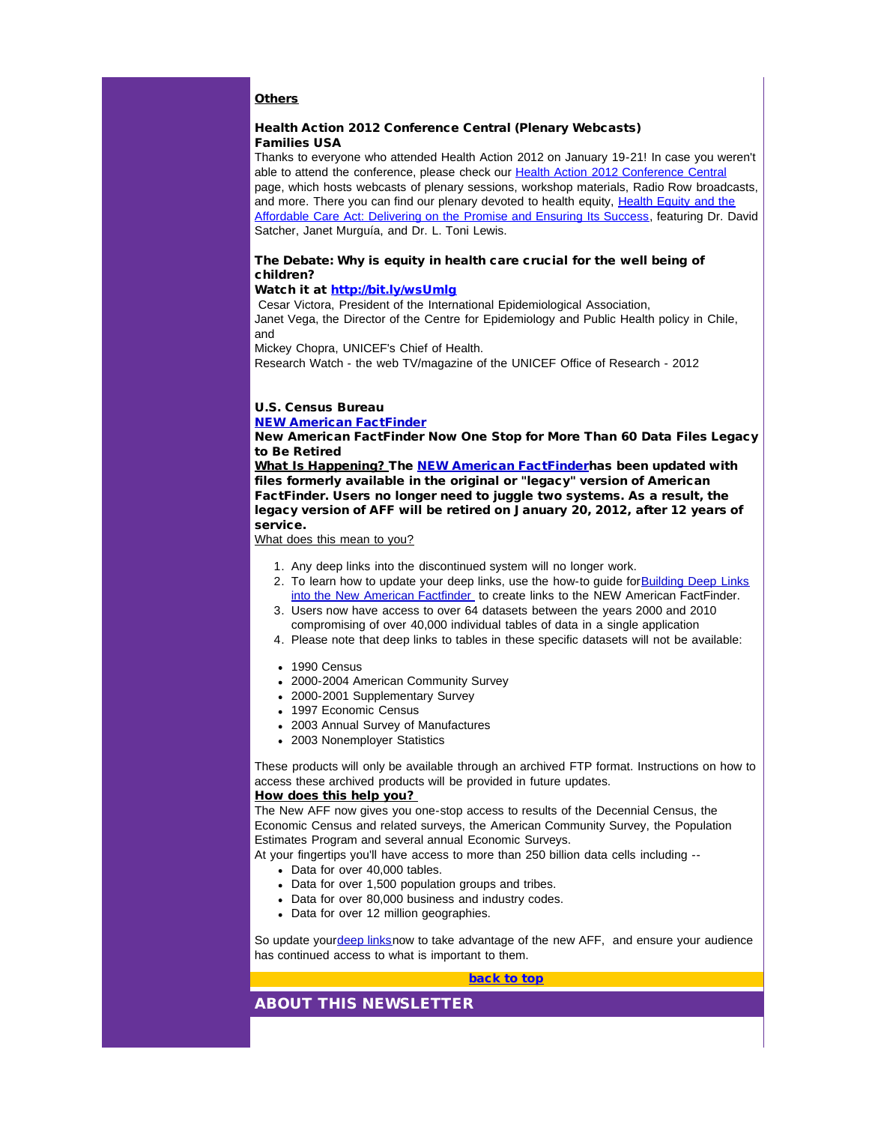# **Others**

# Health Action 2012 Conference Central (Plenary Webcasts) Families USA

Thanks to everyone who attended Health Action 2012 on January 19-21! In case you weren't able to attend the conference, please check our [Health Action 2012 Conference Central](http://r20.rs6.net/tn.jsp?llr=5gytkqcab&t=4wxascjab.0.arpjscjab.5gytkqcab.1&ts=S0729&p=http%3A%2F%2Fwww.familiesusa.org%2Fconference%2Fhealth-action-2012%2F) page, which hosts webcasts of plenary sessions, workshop materials, Radio Row broadcasts, and more. There you can find our plenary devoted to health equity, [Health Equity and the](http://r20.rs6.net/tn.jsp?llr=5gytkqcab&t=4wxascjab.0.brpjscjab.5gytkqcab.1&ts=S0729&p=http%3A%2F%2Fwww.capitolconnection.net%2Fcapcon%2FFamiliesUSA%2FHealthAction2012%2F012012am%2FAMPlenary-wmv.htm) [Affordable Care Act: Delivering on the Promise and Ensuring Its Success](http://r20.rs6.net/tn.jsp?llr=5gytkqcab&t=4wxascjab.0.brpjscjab.5gytkqcab.1&ts=S0729&p=http%3A%2F%2Fwww.capitolconnection.net%2Fcapcon%2FFamiliesUSA%2FHealthAction2012%2F012012am%2FAMPlenary-wmv.htm), featuring Dr. David Satcher, Janet Murguía, and Dr. L. Toni Lewis.

## The Debate: Why is equity in health care crucial for the well being of children?

# Watch it at [http://bit.ly/wsUmlg](http://r20.rs6.net/tn.jsp?llr=5gytkqcab&t=4wxascjab.0.crpjscjab.5gytkqcab.1&ts=S0729&p=http%3A%2F%2Fbit.ly%2FwsUmlg)

Cesar Victora, President of the International Epidemiological Association, Janet Vega, the Director of the Centre for Epidemiology and Public Health policy in Chile, and

Mickey Chopra, UNICEF's Chief of Health.

Research Watch - the web TV/magazine of the UNICEF Office of Research - 2012

# U.S. Census Bureau

#### [NEW American FactFinder](http://r20.rs6.net/tn.jsp?llr=5gytkqcab&t=4wxascjab.0.drpjscjab.5gytkqcab.1&ts=S0729&p=http%3A%2F%2Flinks.govdelivery.com%2Ftrack%3Ftype%3Dclick%26enid%3DZWFzPTEmbWFpbGluZ2lkPTIwMTIwMTEyLjQ5NjU0NDEmbWVzc2FnZWlkPU1EQi1QUkQtQlVMLTIwMTIwMTEyLjQ5NjU0NDEmZGF0YWJhc2VpZD0xMDAxJnNlcmlhbD0xNjgzOTY3OSZlbWFpbGlkPWpuYThAY2RjLmdvdiZ1c2VyaWQ9am5hOEBjZGMuZ292JmZsPSZleHRyYT1NdWx0aXZhcmlhdGVJZD0mJiY%3D%26%26%26100%26%26%26http%3A%2F%2Ffactfinder2.census.gov)

New American FactFinder Now One Stop for More Than 60 Data Files Legacy to Be Retired

What Is Happening? The [NEW American FactFinder](http://r20.rs6.net/tn.jsp?llr=5gytkqcab&t=4wxascjab.0.drpjscjab.5gytkqcab.1&ts=S0729&p=http%3A%2F%2Flinks.govdelivery.com%2Ftrack%3Ftype%3Dclick%26enid%3DZWFzPTEmbWFpbGluZ2lkPTIwMTIwMTEyLjQ5NjU0NDEmbWVzc2FnZWlkPU1EQi1QUkQtQlVMLTIwMTIwMTEyLjQ5NjU0NDEmZGF0YWJhc2VpZD0xMDAxJnNlcmlhbD0xNjgzOTY3OSZlbWFpbGlkPWpuYThAY2RjLmdvdiZ1c2VyaWQ9am5hOEBjZGMuZ292JmZsPSZleHRyYT1NdWx0aXZhcmlhdGVJZD0mJiY%3D%26%26%26100%26%26%26http%3A%2F%2Ffactfinder2.census.gov)has been updated with files formerly available in the original or "legacy" version of American FactFinder. Users no longer need to juggle two systems. As a result, the legacy version of AFF will be retired on January 20, 2012, after 12 years of service.

What does this mean to you?

- 1. Any deep links into the discontinued system will no longer work.
- 2. To learn how to update your deep links, use the how-to guide for[Building Deep Links](http://r20.rs6.net/tn.jsp?llr=5gytkqcab&t=4wxascjab.0.erpjscjab.5gytkqcab.1&ts=S0729&p=http%3A%2F%2Flinks.govdelivery.com%2Ftrack%3Ftype%3Dclick%26enid%3DZWFzPTEmbWFpbGluZ2lkPTIwMTIwMTEyLjQ5NjU0NDEmbWVzc2FnZWlkPU1EQi1QUkQtQlVMLTIwMTIwMTEyLjQ5NjU0NDEmZGF0YWJhc2VpZD0xMDAxJnNlcmlhbD0xNjgzOTY3OSZlbWFpbGlkPWpuYThAY2RjLmdvdiZ1c2VyaWQ9am5hOEBjZGMuZ292JmZsPSZleHRyYT1NdWx0aXZhcmlhdGVJZD0mJiY%3D%26%26%26101%26%26%26http%3A%2F%2Ffactfinder.census.gov%2Fhome%2Fsaff%2FAFF_deep_linking_guide.pdf) [into the New American Factfinder](http://r20.rs6.net/tn.jsp?llr=5gytkqcab&t=4wxascjab.0.erpjscjab.5gytkqcab.1&ts=S0729&p=http%3A%2F%2Flinks.govdelivery.com%2Ftrack%3Ftype%3Dclick%26enid%3DZWFzPTEmbWFpbGluZ2lkPTIwMTIwMTEyLjQ5NjU0NDEmbWVzc2FnZWlkPU1EQi1QUkQtQlVMLTIwMTIwMTEyLjQ5NjU0NDEmZGF0YWJhc2VpZD0xMDAxJnNlcmlhbD0xNjgzOTY3OSZlbWFpbGlkPWpuYThAY2RjLmdvdiZ1c2VyaWQ9am5hOEBjZGMuZ292JmZsPSZleHRyYT1NdWx0aXZhcmlhdGVJZD0mJiY%3D%26%26%26101%26%26%26http%3A%2F%2Ffactfinder.census.gov%2Fhome%2Fsaff%2FAFF_deep_linking_guide.pdf) to create links to the NEW American FactFinder.
- 3. Users now have access to over 64 datasets between the years 2000 and 2010 compromising of over 40,000 individual tables of data in a single application
- 4. Please note that deep links to tables in these specific datasets will not be available:
- 1990 Census
- 2000-2004 American Community Survey
- 2000-2001 Supplementary Survey
- 1997 Economic Census
- 2003 Annual Survey of Manufactures
- 2003 Nonemployer Statistics

These products will only be available through an archived FTP format. Instructions on how to access these archived products will be provided in future updates.

# How does this help you?

The New AFF now gives you one-stop access to results of the Decennial Census, the Economic Census and related surveys, the American Community Survey, the Population Estimates Program and several annual Economic Surveys.

At your fingertips you'll have access to more than 250 billion data cells including --

- Data for over 40,000 tables.
- Data for over 1,500 population groups and tribes.
- Data for over 80,000 business and industry codes.
- Data for over 12 million geographies.

So update your[deep linksn](http://r20.rs6.net/tn.jsp?llr=5gytkqcab&t=4wxascjab.0.frpjscjab.5gytkqcab.1&ts=S0729&p=http%3A%2F%2Flinks.govdelivery.com%2Ftrack%3Ftype%3Dclick%26enid%3DZWFzPTEmbWFpbGluZ2lkPTIwMTIwMTEyLjQ5NjU0NDEmbWVzc2FnZWlkPU1EQi1QUkQtQlVMLTIwMTIwMTEyLjQ5NjU0NDEmZGF0YWJhc2VpZD0xMDAxJnNlcmlhbD0xNjgzOTY3OSZlbWFpbGlkPWpuYThAY2RjLmdvdiZ1c2VyaWQ9am5hOEBjZGMuZ292JmZsPSZleHRyYT1NdWx0aXZhcmlhdGVJZD0mJiY%3D%26%26%26102%26%26%26http%3A%2F%2Ffactfinder.census.gov%2Fhome%2Fsaff%2FAFF_deep_linking_guide.pdf)ow to take advantage of the new AFF, and ensure your audience has continued access to what is important to them.

#### [back to top](#page-0-1)

# ABOUT THIS NEWSLETTER